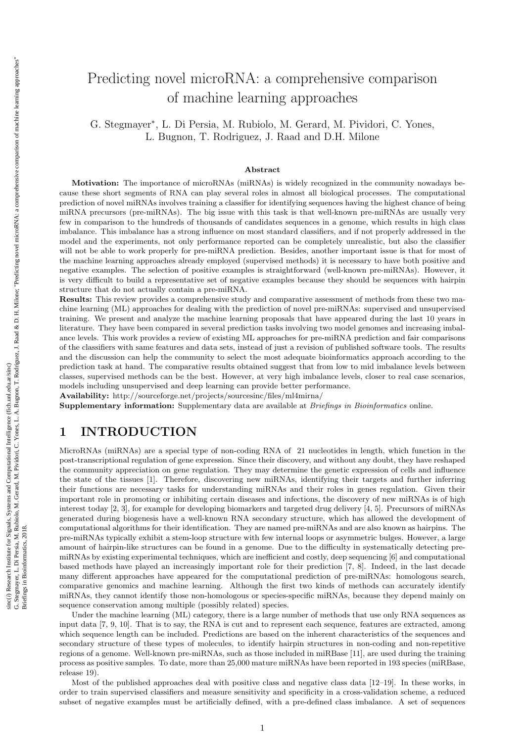# Predicting novel microRNA: a comprehensive comparison of machine learning approaches

G. Stegmayer<sup>∗</sup> , L. Di Persia, M. Rubiolo, M. Gerard, M. Pividori, C. Yones, L. Bugnon, T. Rodriguez, J. Raad and D.H. Milone

#### Abstract

Motivation: The importance of microRNAs (miRNAs) is widely recognized in the community nowadays because these short segments of RNA can play several roles in almost all biological processes. The computational prediction of novel miRNAs involves training a classifier for identifying sequences having the highest chance of being miRNA precursors (pre-miRNAs). The big issue with this task is that well-known pre-miRNAs are usually very few in comparison to the hundreds of thousands of candidates sequences in a genome, which results in high class imbalance. This imbalance has a strong influence on most standard classifiers, and if not properly addressed in the model and the experiments, not only performance reported can be completely unrealistic, but also the classifier will not be able to work properly for pre-miRNA prediction. Besides, another important issue is that for most of the machine learning approaches already employed (supervised methods) it is necessary to have both positive and negative examples. The selection of positive examples is straightforward (well-known pre-miRNAs). However, it is very difficult to build a representative set of negative examples because they should be sequences with hairpin structure that do not actually contain a pre-miRNA.

Results: This review provides a comprehensive study and comparative assessment of methods from these two machine learning (ML) approaches for dealing with the prediction of novel pre-miRNAs: supervised and unsupervised training. We present and analyze the machine learning proposals that have appeared during the last 10 years in literature. They have been compared in several prediction tasks involving two model genomes and increasing imbalance levels. This work provides a review of existing ML approaches for pre-miRNA prediction and fair comparisons of the classifiers with same features and data sets, instead of just a revision of published software tools. The results and the discussion can help the community to select the most adequate bioinformatics approach according to the prediction task at hand. The comparative results obtained suggest that from low to mid imbalance levels between classes, supervised methods can be the best. However, at very high imbalance levels, closer to real case scenarios, models including unsupervised and deep learning can provide better performance.

Availability: http://sourceforge.net/projects/sourcesinc/files/ml4mirna/

Supplementary information: Supplementary data are available at Briefings in Bioinformatics online.

### 1 INTRODUCTION

MicroRNAs (miRNAs) are a special type of non-coding RNA of 21 nucleotides in length, which function in the post-transcriptional regulation of gene expression. Since their discovery, and without any doubt, they have reshaped the community appreciation on gene regulation. They may determine the genetic expression of cells and influence the state of the tissues [1]. Therefore, discovering new miRNAs, identifying their targets and further inferring their functions are necessary tasks for understanding miRNAs and their roles in genes regulation. Given their important role in promoting or inhibiting certain diseases and infections, the discovery of new miRNAs is of high interest today [2, 3], for example for developing biomarkers and targeted drug delivery [4, 5]. Precursors of miRNAs generated during biogenesis have a well-known RNA secondary structure, which has allowed the development of computational algorithms for their identification. They are named pre-miRNAs and are also known as hairpins. The pre-miRNAs typically exhibit a stem-loop structure with few internal loops or asymmetric bulges. However, a large amount of hairpin-like structures can be found in a genome. Due to the difficulty in systematically detecting premiRNAs by existing experimental techniques, which are inefficient and costly, deep sequencing [6] and computational based methods have played an increasingly important role for their prediction [7, 8]. Indeed, in the last decade many different approaches have appeared for the computational prediction of pre-miRNAs: homologous search, comparative genomics and machine learning. Although the first two kinds of methods can accurately identify miRNAs, they cannot identify those non-homologous or species-specific miRNAs, because they depend mainly on sequence conservation among multiple (possibly related) species.

Under the machine learning (ML) category, there is a large number of methods that use only RNA sequences as input data [7, 9, 10]. That is to say, the RNA is cut and to represent each sequence, features are extracted, among which sequence length can be included. Predictions are based on the inherent characteristics of the sequences and secondary structure of these types of molecules, to identify hairpin structures in non-coding and non-repetitive regions of a genome. Well-known pre-miRNAs, such as those included in miRBase [11], are used during the training process as positive samples. To date, more than 25,000 mature miRNAs have been reported in 193 species (miRBase, release 19).

Most of the published approaches deal with positive class and negative class data [12–19]. In these works, in order to train supervised classifiers and measure sensitivity and specificity in a cross-validation scheme, a reduced subset of negative examples must be artificially defined, with a pre-defined class imbalance. A set of sequences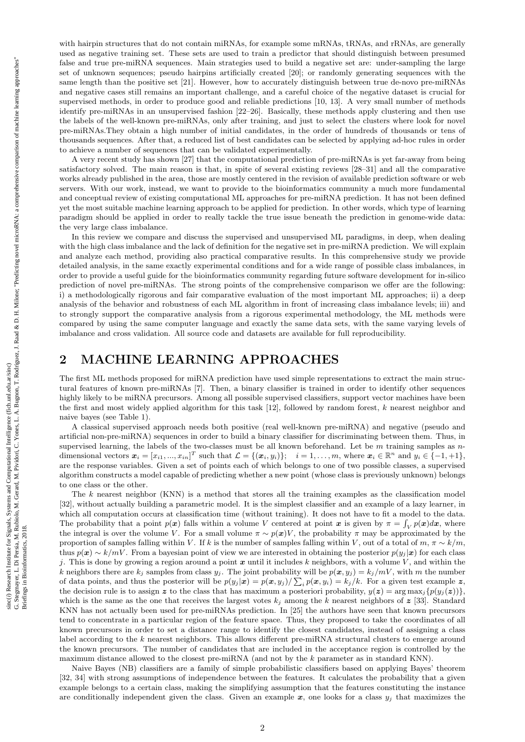Briefings in Bioinformatics, 2018.

with hairpin structures that do not contain miRNAs, for example some mRNAs, tRNAs, and rRNAs, are generally used as negative training set. These sets are used to train a predictor that should distinguish between presumed false and true pre-miRNA sequences. Main strategies used to build a negative set are: under-sampling the large set of unknown sequences; pseudo hairpins artificially created [20]; or randomly generating sequences with the same length than the positive set [21]. However, how to accurately distinguish between true de-novo pre-miRNAs and negative cases still remains an important challenge, and a careful choice of the negative dataset is crucial for supervised methods, in order to produce good and reliable predictions [10, 13]. A very small number of methods identify pre-miRNAs in an unsupervised fashion [22–26]. Basically, these methods apply clustering and then use the labels of the well-known pre-miRNAs, only after training, and just to select the clusters where look for novel pre-miRNAs.They obtain a high number of initial candidates, in the order of hundreds of thousands or tens of thousands sequences. After that, a reduced list of best candidates can be selected by applying ad-hoc rules in order to achieve a number of sequences that can be validated experimentally.

A very recent study has shown [27] that the computational prediction of pre-miRNAs is yet far-away from being satisfactory solved. The main reason is that, in spite of several existing reviews [28–31] and all the comparative works already published in the area, those are mostly centered in the revision of available prediction software or web servers. With our work, instead, we want to provide to the bioinformatics community a much more fundamental and conceptual review of existing computational ML approaches for pre-miRNA prediction. It has not been defined yet the most suitable machine learning approach to be applied for prediction. In other words, which type of learning paradigm should be applied in order to really tackle the true issue beneath the prediction in genome-wide data: the very large class imbalance.

In this review we compare and discuss the supervised and unsupervised ML paradigms, in deep, when dealing with the high class imbalance and the lack of definition for the negative set in pre-miRNA prediction. We will explain and analyze each method, providing also practical comparative results. In this comprehensive study we provide detailed analysis, in the same exactly experimental conditions and for a wide range of possible class imbalances, in order to provide a useful guide for the bioinformatics community regarding future software development for in-silico prediction of novel pre-miRNAs. The strong points of the comprehensive comparison we offer are the following: i) a methodologically rigorous and fair comparative evaluation of the most important ML approaches; ii) a deep analysis of the behavior and robustness of each ML algorithm in front of increasing class imbalance levels; iii) and to strongly support the comparative analysis from a rigorous experimental methodology, the ML methods were compared by using the same computer language and exactly the same data sets, with the same varying levels of imbalance and cross validation. All source code and datasets are available for full reproducibility.

### 2 MACHINE LEARNING APPROACHES

The first ML methods proposed for miRNA prediction have used simple representations to extract the main structural features of known pre-miRNAs [7]. Then, a binary classifier is trained in order to identify other sequences highly likely to be miRNA precursors. Among all possible supervised classifiers, support vector machines have been the first and most widely applied algorithm for this task [12], followed by random forest, k nearest neighbor and naive bayes (see Table 1).

A classical supervised approach needs both positive (real well-known pre-miRNA) and negative (pseudo and artificial non-pre-miRNA) sequences in order to build a binary classifier for discriminating between them. Thus, in supervised learning, the labels of the two-classes must be all known beforehand. Let be  $m$  training samples as  $n$ dimensional vectors  $\boldsymbol{x}_i = [x_{i1},...,x_{in}]^T$  such that  $\mathcal{L} = \{(\boldsymbol{x}_i, y_i)\}; \quad i = 1, ..., m$ , where  $\boldsymbol{x}_i \in \mathbb{R}^n$  and  $y_i \in \{-1, +1\}$ , are the response variables. Given a set of points each of which belongs to one of two possible classes, a supervised algorithm constructs a model capable of predicting whether a new point (whose class is previously unknown) belongs to one class or the other.

The  $k$  nearest neighbor (KNN) is a method that stores all the training examples as the classification model [32], without actually building a parametric model. It is the simplest classifier and an example of a lazy learner, in which all computation occurs at classification time (without training). It does not have to fit a model to the data. The probability that a point  $p(x)$  falls within a volume V centered at point x is given by  $\pi = \int_V p(x)dx$ , where the integral is over the volume V. For a small volume  $\pi \sim p(x)V$ , the probability  $\pi$  may be approximated by the proportion of samples falling within V. If k is the number of samples falling within V, out of a total of  $m, \pi \sim k/m$ , thus  $p(x) \sim k/mV$ . From a bayesian point of view we are interested in obtaining the posterior  $p(y_i|x)$  for each class j. This is done by growing a region around a point  $x$  until it includes k neighbors, with a volume V, and within the k neighbors there are  $k_j$  samples from class  $y_j$ . The joint probability will be  $p(x, y_j) = k_j/mV$ , with m the number of data points, and thus the posterior will be  $p(y_j|\mathbf{x}) = p(\mathbf{x}, y_j) / \sum_i p(\mathbf{x}, y_i) = k_j / k$ . For a given test example z, the decision rule is to assign z to the class that has maximum a posteriori probability,  $y(z) = \arg \max_j \{p(y_j(z))\},\$ which is the same as the one that receives the largest votes  $k_i$  among the k nearest neighbors of  $z$  [33]. Standard KNN has not actually been used for pre-miRNAs prediction. In [25] the authors have seen that known precursors tend to concentrate in a particular region of the feature space. Thus, they proposed to take the coordinates of all known precursors in order to set a distance range to identify the closest candidates, instead of assigning a class label according to the k nearest neighbors. This allows different pre-miRNA structural clusters to emerge around the known precursors. The number of candidates that are included in the acceptance region is controlled by the maximum distance allowed to the closest pre-miRNA (and not by the k parameter as in standard KNN).

Naive Bayes (NB) classifiers are a family of simple probabilistic classifiers based on applying Bayes' theorem [32, 34] with strong assumptions of independence between the features. It calculates the probability that a given example belongs to a certain class, making the simplifying assumption that the features constituting the instance are conditionally independent given the class. Given an example  $x$ , one looks for a class  $y_j$  that maximizes the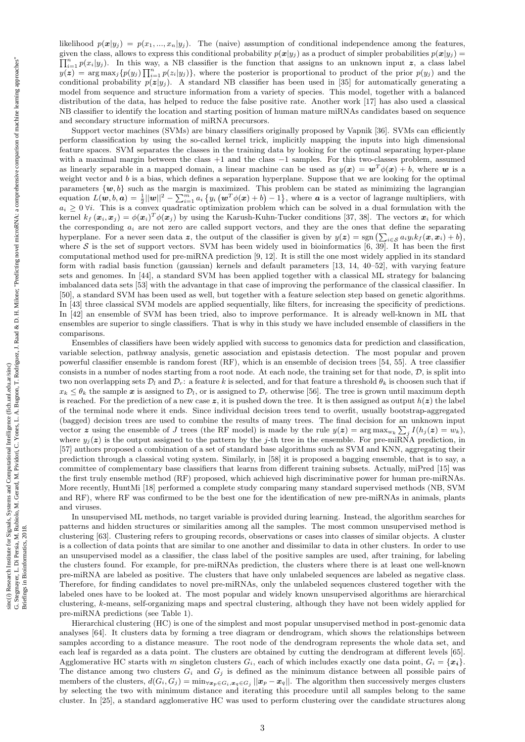likelihood  $p(x|y_i) = p(x_1, ..., x_n|y_i)$ . The (naive) assumption of conditional independence among the features, given the class, allows to express this conditional probability  $p(x|y_j)$  as a product of simpler probabilities  $p(x|y_j)$  $\prod_{i=1}^n p(x_i|y_i)$ . In this way, a NB classifier is the function that assigns to an unknown input z, a class label  $y(z) = \arg \max_j \{p(y_j) \prod_{i=1}^n p(z_i|y_j)\}\,$ , where the posterior is proportional to product of the prior  $p(y_j)$  and the conditional probability  $p(z|y_j)$ . A standard NB classifier has been used in [35] for automatically generating a model from sequence and structure information from a variety of species. This model, together with a balanced distribution of the data, has helped to reduce the false positive rate. Another work [17] has also used a classical NB classifier to identify the location and starting position of human mature miRNAs candidates based on sequence and secondary structure information of miRNA precursors.

Support vector machines (SVMs) are binary classifiers originally proposed by Vapnik [36]. SVMs can efficiently perform classification by using the so-called kernel trick, implicitly mapping the inputs into high dimensional feature spaces. SVM separates the classes in the training data by looking for the optimal separating hyper-plane with a maximal margin between the class  $+1$  and the class  $-1$  samples. For this two-classes problem, assumed as linearly separable in a mapped domain, a linear machine can be used as  $y(x) = w^T \phi(x) + b$ , where w is a weight vector and  $b$  is a bias, which defines a separation hyperplane. Suppose that we are looking for the optimal parameters  $\{w, b\}$  such as the margin is maximized. This problem can be stated as minimizing the lagrangian equation  $L(\boldsymbol{w}, b, \boldsymbol{a}) = \frac{1}{2} ||\boldsymbol{w}||^2 - \sum_{i=1}^m a_i \{ y_i (\boldsymbol{w}^T \phi(\boldsymbol{x}) + b) - 1 \}$ , where  $\boldsymbol{a}$  is a vector of lagrange multipliers, with  $a_i \geq 0$   $\forall i$ . This is a convex quadratic optimization problem which can be solved in a dual formulation with the kernel  $k_f(\bm{x}_i, \bm{x}_j) = \phi(\bm{x}_i)^T \phi(\bm{x}_j)$  by using the Karush-Kuhn-Tucker conditions [37, 38]. The vectors  $\bm{x}_i$  for which the corresponding  $a_i$  are not zero are called support vectors, and they are the ones that define the separating hyperplane. For a never seen data z, the output of the classifier is given by  $y(z) = sgn\left(\sum_{i \in S} a_i y_i k_f(x, x_i) + b\right)$ , where  $S$  is the set of support vectors. SVM has been widely used in bioinformatics  $[6, 39]$ . It has been the first computational method used for pre-miRNA prediction [9, 12]. It is still the one most widely applied in its standard form with radial basis function (gaussian) kernels and default parameters [13, 14, 40–52], with varying feature sets and genomes. In [44], a standard SVM has been applied together with a classical ML strategy for balancing imbalanced data sets [53] with the advantage in that case of improving the performance of the classical classifier. In [50], a standard SVM has been used as well, but together with a feature selection step based on genetic algorithms. In [43] three classical SVM models are applied sequentially, like filters, for increasing the specificity of predictions. In [42] an ensemble of SVM has been tried, also to improve performance. It is already well-known in ML that ensembles are superior to single classifiers. That is why in this study we have included ensemble of classifiers in the comparisons.

Ensembles of classifiers have been widely applied with success to genomics data for prediction and classification, variable selection, pathway analysis, genetic association and epistasis detection. The most popular and proven powerful classifier ensemble is random forest  $(RF)$ , which is an ensemble of decision trees [54, 55]. A tree classifier consists in a number of nodes starting from a root node. At each node, the training set for that node,  $D$ , is split into two non overlapping sets  $\mathcal{D}_l$  and  $\mathcal{D}_r$ : a feature k is selected, and for that feature a threshold  $\theta_k$  is choosen such that if  $x_k \leq \theta_k$  the sample x is assigned to  $\mathcal{D}_l$ , or is assigned to  $\mathcal{D}_r$  otherwise [56]. The tree is grown until maximum depth is reached. For the prediction of a new case z, it is pushed down the tree. It is then assigned as output  $h(z)$  the label of the terminal node where it ends. Since individual decision trees tend to overfit, usually bootstrap-aggregated (bagged) decision trees are used to combine the results of many trees. The final decision for an unknown input vector z using the ensemble of J trees (the RF model) is made by the rule  $y(z) = \arg \max_{w_k} \sum_j I(h_j(z) = w_k)$ , where  $y_i(z)$  is the output assigned to the pattern by the j-th tree in the ensemble. For pre-miRNA prediction, in [57] authors proposed a combination of a set of standard base algorithms such as SVM and KNN, aggregating their prediction through a classical voting system. Similarly, in [58] it is proposed a bagging ensemble, that is to say, a committee of complementary base classifiers that learns from different training subsets. Actually, miPred [15] was the first truly ensemble method (RF) proposed, which achieved high discriminative power for human pre-miRNAs. More recently, HuntMi [18] performed a complete study comparing many standard supervised methods (NB, SVM and RF), where RF was confirmed to be the best one for the identification of new pre-miRNAs in animals, plants and viruses.

In unsupervised ML methods, no target variable is provided during learning. Instead, the algorithm searches for patterns and hidden structures or similarities among all the samples. The most common unsupervised method is clustering [63]. Clustering refers to grouping records, observations or cases into classes of similar objects. A cluster is a collection of data points that are similar to one another and dissimilar to data in other clusters. In order to use an unsupervised model as a classifier, the class label of the positive samples are used, after training, for labeling the clusters found. For example, for pre-miRNAs prediction, the clusters where there is at least one well-known pre-miRNA are labeled as positive. The clusters that have only unlabeled sequences are labeled as negative class. Therefore, for finding candidates to novel pre-miRNAs, only the unlabeled sequences clustered together with the labeled ones have to be looked at. The most popular and widely known unsupervised algorithms are hierarchical clustering, k-means, self-organizing maps and spectral clustering, although they have not been widely applied for pre-miRNA predictions (see Table 1).

Hierarchical clustering (HC) is one of the simplest and most popular unsupervised method in post-genomic data analyses [64]. It clusters data by forming a tree diagram or dendrogram, which shows the relationships between samples according to a distance measure. The root node of the dendrogram represents the whole data set, and each leaf is regarded as a data point. The clusters are obtained by cutting the dendrogram at different levels [65]. Agglomerative HC starts with m singleton clusters  $G_i$ , each of which includes exactly one data point,  $G_i = \{x_i\}$ . The distance among two clusters  $G_i$  and  $G_j$  is defined as the minimum distance between all possible pairs of members of the clusters,  $d(G_i, G_j) = \min_{\forall x_p \in G_i, x_q \in G_j} ||x_p - x_q||$ . The algorithm then successively merges clusters by selecting the two with minimum distance and iterating this procedure until all samples belong to the same cluster. In [25], a standard agglomerative HC was used to perform clustering over the candidate structures along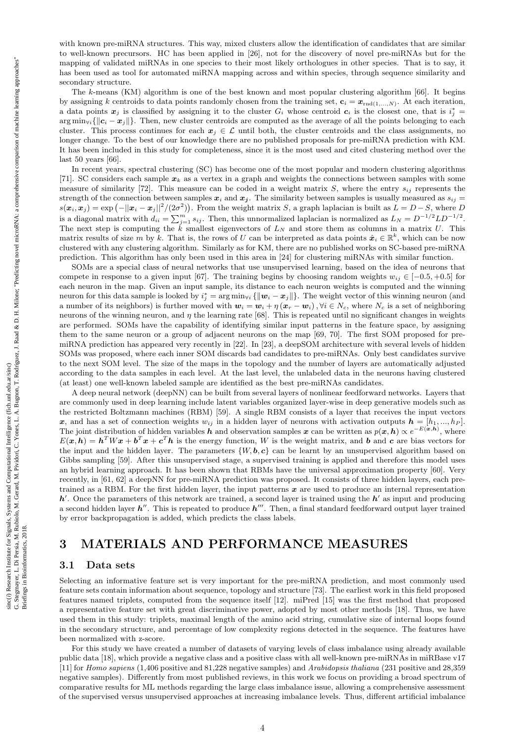secondary structure. last 50 years [66].

with known pre-miRNA structures. This way, mixed clusters allow the identification of candidates that are similar to well-known precursors. HC has been applied in [26], not for the discovery of novel pre-miRNAs but for the mapping of validated miRNAs in one species to their most likely orthologues in other species. That is to say, it has been used as tool for automated miRNA mapping across and within species, through sequence similarity and

The k-means (KM) algorithm is one of the best known and most popular clustering algorithm [66]. It begins by assigning k centroids to data points randomly chosen from the training set,  $\mathbf{c}_i = \mathbf{x}_{\text{rnd}(1,...,N)}$ . At each iteration, a data points  $x_j$  is classified by assigning it to the cluster  $G_i$  whose centroid  $c_i$  is the closest one, that is  $i_j^* =$ arg min<sub>∀i</sub>{ $||c_i - x_j||$ . Then, new cluster centroids are computed as the average of all the points belonging to each cluster. This process continues for each  $x_j \in \mathcal{L}$  until both, the cluster centroids and the class assignments, no longer change. To the best of our knowledge there are no published proposals for pre-miRNA prediction with KM. It has been included in this study for completeness, since it is the most used and cited clustering method over the

In recent years, spectral clustering (SC) has become one of the most popular and modern clustering algorithms [71]. SC considers each sample  $x_k$  as a vertex in a graph and weights the connections between samples with some measure of similarity [72]. This measure can be coded in a weight matrix  $S$ , where the entry  $s_{ij}$  represents the strength of the connection between samples  $x_i$  and  $x_j$ . The similarity between samples is usually measured as  $s_{ij}$  $s(\bm{x}_i, \bm{x}_j) = \exp(-||\bm{x}_i - \bm{x}_j||^2/((2\sigma^2))$ . From the weight matrix S, a graph laplacian is built as  $L = D - S$ , where D is a diagonal matrix with  $d_{ii} = \sum_{j=1}^{m} s_{ij}$ . Then, this unnormalized laplacian is normalized as  $L_N = D^{-1/2} L D^{-1/2}$ . The next step is computing the k smallest eigenvectors of  $L_N$  and store them as columns in a matrix U. This matrix results of size m by k. That is, the rows of U can be interpreted as data points  $\hat{x}_i \in \mathbb{R}^k$ , which can be now clustered with any clustering algorithm. Similarly as for KM, there are no published works on SC-based pre-miRNA prediction. This algorithm has only been used in this area in [24] for clustering miRNAs with similar function.

SOMs are a special class of neural networks that use unsupervised learning, based on the idea of neurons that compete in response to a given input [67]. The training begins by choosing random weights  $w_{ii} \in [-0.5, +0.5]$  for each neuron in the map. Given an input sample, its distance to each neuron weights is computed and the winning neuron for this data sample is looked by  $i_j^* = \arg \min_{\forall i} \{ ||\bm{w}_i - \bm{x}_j|| \}$ . The weight vector of this winning neuron (and a number of its neighbors) is further moved with  $w_i = w_i + \eta(x_r - w_i)$ ,  $\forall i \in N_c$ , where  $N_c$  is a set of neighboring neurons of the winning neuron, and  $\eta$  the learning rate [68]. This is repeated until no significant changes in weights are performed. SOMs have the capability of identifying similar input patterns in the feature space, by assigning them to the same neuron or a group of adjacent neurons on the map [69, 70]. The first SOM proposed for premiRNA prediction has appeared very recently in [22]. In [23], a deepSOM architecture with several levels of hidden SOMs was proposed, where each inner SOM discards bad candidates to pre-miRNAs. Only best candidates survive to the next SOM level. The size of the maps in the topology and the number of layers are automatically adjusted according to the data samples in each level. At the last level, the unlabeled data in the neurons having clustered (at least) one well-known labeled sample are identified as the best pre-miRNAs candidates.

A deep neural network (deepNN) can be built from several layers of nonlinear feedforward networks. Layers that are commonly used in deep learning include latent variables organized layer-wise in deep generative models such as the restricted Boltzmann machines (RBM) [59]. A single RBM consists of a layer that receives the input vectors x, and has a set of connection weights  $w_{ij}$  in a hidden layer of neurons with activation outputs  $\mathbf{h} = [h_1, ..., h_P]$ . The joint distribution of hidden variables h and observation samples x can be written as  $p(x, h) \propto e^{-E(x, h)}$ , where  $E(\mathbf{x}, h) = h^T W \mathbf{x} + b^T \mathbf{x} + c^T h$  is the energy function, W is the weight matrix, and b and c are bias vectors for the input and the hidden layer. The parameters  $\{W, b, c\}$  can be learnt by an unsupervised algorithm based on Gibbs sampling [59]. After this unsupervised stage, a supervised training is applied and therefore this model uses an hybrid learning approach. It has been shown that RBMs have the universal approximation property [60]. Very recently, in [61, 62] a deepNN for pre-miRNA prediction was proposed. It consists of three hidden layers, each pretrained as a RBM. For the first hidden layer, the input patterns  $x$  are used to produce an internal representation  $h'$ . Once the parameters of this network are trained, a second layer is trained using the  $h'$  as input and producing a second hidden layer  $h''$ . This is repeated to produce  $h'''$ . Then, a final standard feedforward output layer trained by error backpropagation is added, which predicts the class labels.

## 3 MATERIALS AND PERFORMANCE MEASURES

### 3.1 Data sets

Selecting an informative feature set is very important for the pre-miRNA prediction, and most commonly used feature sets contain information about sequence, topology and structure [73]. The earliest work in this field proposed features named triplets, computed from the sequence itself [12]. miPred [15] was the first method that proposed a representative feature set with great discriminative power, adopted by most other methods [18]. Thus, we have used them in this study: triplets, maximal length of the amino acid string, cumulative size of internal loops found in the secondary structure, and percentage of low complexity regions detected in the sequence. The features have been normalized with z-score.

For this study we have created a number of datasets of varying levels of class imbalance using already available public data [18], which provide a negative class and a positive class with all well-known pre-miRNAs in miRBase v17 [11] for Homo sapiens (1,406 positive and 81,228 negative samples) and Arabidopsis thaliana (231 positive and 28,359 negative samples). Differently from most published reviews, in this work we focus on providing a broad spectrum of comparative results for ML methods regarding the large class imbalance issue, allowing a comprehensive assessment of the supervised versus unsupervised approaches at increasing imbalance levels. Thus, different artificial imbalance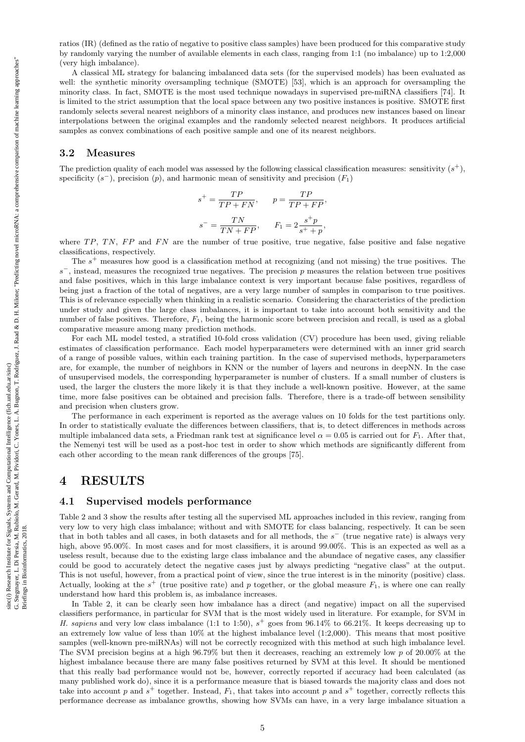ratios (IR) (defined as the ratio of negative to positive class samples) have been produced for this comparative study by randomly varying the number of available elements in each class, ranging from 1:1 (no imbalance) up to 1:2,000 (very high imbalance).

A classical ML strategy for balancing imbalanced data sets (for the supervised models) has been evaluated as well: the synthetic minority oversampling technique (SMOTE) [53], which is an approach for oversampling the minority class. In fact, SMOTE is the most used technique nowadays in supervised pre-miRNA classifiers [74]. It is limited to the strict assumption that the local space between any two positive instances is positive. SMOTE first randomly selects several nearest neighbors of a minority class instance, and produces new instances based on linear interpolations between the original examples and the randomly selected nearest neighbors. It produces artificial samples as convex combinations of each positive sample and one of its nearest neighbors.

#### 3.2 Measures

The prediction quality of each model was assessed by the following classical classification measures: sensitivity  $(s^+),$ specificity  $(s^-)$ , precision  $(p)$ , and harmonic mean of sensitivity and precision  $(F_1)$ 

$$
s^{+} = \frac{TP}{TP + FN}, \qquad p = \frac{TP}{TP + FP},
$$

$$
s^{-} = \frac{TN}{TN + FP}, \qquad F_1 = 2\frac{s^{+}p}{s^{+} + p},
$$

where  $TP$ , TN,  $FP$  and  $FN$  are the number of true positive, true negative, false positive and false negative classifications, respectively.

The  $s^+$  measures how good is a classification method at recognizing (and not missing) the true positives. The  $s^-$ , instead, measures the recognized true negatives. The precision  $p$  measures the relation between true positives and false positives, which in this large imbalance context is very important because false positives, regardless of being just a fraction of the total of negatives, are a very large number of samples in comparison to true positives. This is of relevance especially when thinking in a realistic scenario. Considering the characteristics of the prediction under study and given the large class imbalances, it is important to take into account both sensitivity and the number of false positives. Therefore,  $F_1$ , being the harmonic score between precision and recall, is used as a global comparative measure among many prediction methods.

For each ML model tested, a stratified 10-fold cross validation (CV) procedure has been used, giving reliable estimates of classification performance. Each model hyperparameters were determined with an inner grid search of a range of possible values, within each training partition. In the case of supervised methods, hyperparameters are, for example, the number of neighbors in KNN or the number of layers and neurons in deepNN. In the case of unsupervised models, the corresponding hyperparameter is number of clusters. If a small number of clusters is used, the larger the clusters the more likely it is that they include a well-known positive. However, at the same time, more false positives can be obtained and precision falls. Therefore, there is a trade-off between sensibility and precision when clusters grow.

The performance in each experiment is reported as the average values on 10 folds for the test partitions only. In order to statistically evaluate the differences between classifiers, that is, to detect differences in methods across multiple imbalanced data sets, a Friedman rank test at significance level  $\alpha = 0.05$  is carried out for  $F_1$ . After that, the Nemenyi test will be used as a post-hoc test in order to show which methods are significantly different from each other according to the mean rank differences of the groups [75].

### 4 RESULTS

#### 4.1 Supervised models performance

Table 2 and 3 show the results after testing all the supervised ML approaches included in this review, ranging from very low to very high class imbalance; without and with SMOTE for class balancing, respectively. It can be seen that in both tables and all cases, in both datasets and for all methods, the  $s^-$  (true negative rate) is always very high, above 95.00%. In most cases and for most classifiers, it is around 99.00%. This is an expected as well as a useless result, because due to the existing large class imbalance and the abundace of negative cases, any classifier could be good to accurately detect the negative cases just by always predicting "negative class" at the output. This is not useful, however, from a practical point of view, since the true interest is in the minority (positive) class. Actually, looking at the  $s^+$  (true positive rate) and p together, or the global measure  $F_1$ , is where one can really understand how hard this problem is, as imbalance increases.

In Table 2, it can be clearly seen how imbalance has a direct (and negative) impact on all the supervised classifiers performance, in particular for SVM that is the most widely used in literature. For example, for SVM in H. sapiens and very low class imbalance (1:1 to 1:50),  $s^+$  goes from 96.14% to 66.21%. It keeps decreasing up to an extremely low value of less than 10% at the highest imbalance level (1:2,000). This means that most positive samples (well-known pre-miRNAs) will not be correctly recognized with this method at such high imbalance level. The SVM precision begins at a high  $96.79\%$  but then it decreases, reaching an extremely low p of 20.00% at the highest imbalance because there are many false positives returned by SVM at this level. It should be mentioned that this really bad performance would not be, however, correctly reported if accuracy had been calculated (as many published work do), since it is a performance measure that is biased towards the majority class and does not take into account p and  $s^+$  together. Instead,  $F_1$ , that takes into account p and  $s^+$  together, correctly reflects this performance decrease as imbalance growths, showing how SVMs can have, in a very large imbalance situation a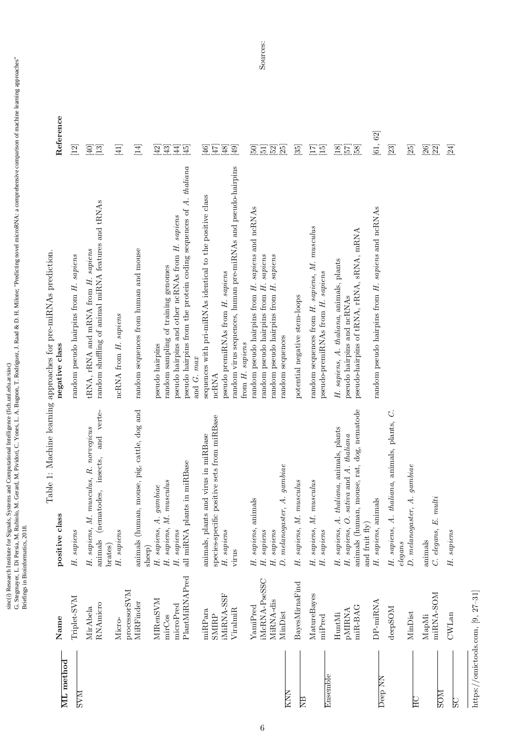sinc(i) Research Institute for Signals, Systems and Computational Intelligence (fich.unl.edu.ar/sinc)<br>G. Stegmayer, L. Di Persia, M. Rubiolo, M. Gerard, M. Pividori, C. Yones, L. A. Bugnon, T. Rodriguez, J. Raad & D. H. Mi G. Stegmayer, L. Di Persia, M. Rubiolo, M. Gerard, M. Pividori, C. Yones, L. A. Bugnon, T. Rodriguez, J. Raad & D. H. Milone; "Predicting novel microRNA: a comprehensive comparison of machine learning approaches" sinc(*i*) Research Institute for Signals, Systems and Computational Intelligence (fich.unl.edu.ar/sinc) Briefings in Bioinformatics, 2018.

| I<br>١<br>ı<br>í<br>I<br>Ċ                                          |
|---------------------------------------------------------------------|
| ı<br>ı<br>l<br>l<br>ı<br>ı<br>ı<br>ı                                |
| $\ddot{\phantom{a}}$<br>l<br>$\frac{1}{1}$<br>d                     |
| ١<br>$\overline{a}$<br>١<br>ı<br>I<br>l<br>ı<br>I<br>$\overline{a}$ |
| ĺ<br>J<br>l<br>i<br>i<br>ı                                          |
| l<br>ı<br>l<br>l<br>ı<br>j<br>ļ<br>ï<br>ı                           |
| i                                                                   |
| ١<br>ı<br>1<br>١<br>l                                               |

| ML method                           | Name                        | 9. 9<br>$\frac{1}{2}$<br>positive class                                                               | $\frac{1}{2}$<br>negative class<br>$\frac{1}{2}$                                                                     | Reference                                             |
|-------------------------------------|-----------------------------|-------------------------------------------------------------------------------------------------------|----------------------------------------------------------------------------------------------------------------------|-------------------------------------------------------|
| MAS                                 | Triplet-SVM                 | $H.$ sapiens                                                                                          | random pseudo hairpins from H. sapiens                                                                               | $[12]$                                                |
|                                     | RNAmicro<br>MirAbela        | verte-<br>H. sapiens, M. musculus, R. norvegicus<br>and<br>insects,<br>animals (nematodes,<br>brates) | random shuffling of animal miRNA features and tRNAs<br>tRNA, rRNA and mRNA from H. sapiens                           | $[40]$<br>$[13]$                                      |
|                                     | Micro-                      | $H.$ sapiens                                                                                          | ncRNA from H. sapiens                                                                                                | $\left[ \frac{1}{4} \right]$                          |
|                                     | processorSVM<br>MiRFinder   | animals (human, mouse, pig, cattle, dog and<br>sheep)                                                 | random sequences from human and mouse                                                                                | $[14]$                                                |
|                                     | MIRenSVM                    | $H.$ sapiens, $A.$ gambiae                                                                            | pseudo hairpins                                                                                                      | $[42]$                                                |
|                                     | mirCos                      | H. sapiens, M. musculus                                                                               | random sampling of training genomes                                                                                  | $[43]$                                                |
|                                     | PlantMiRNAPred<br>microPred | all miRNA plants in miRBase<br>$H.$ sapiens                                                           | pseudo hairpins from the protein coding sequences of A. thaliana<br>pseudo hairpins and other ncRNAs from H. sapiens | $[\frac{1}{4}]$<br>$\begin{bmatrix} 45 \end{bmatrix}$ |
|                                     |                             |                                                                                                       | and G. max                                                                                                           |                                                       |
|                                     | miRPara<br><b>SMIRP</b>     | species-specific positive sets from miRBase<br>animals, plants and virus in miRBase                   | sequences with pri-miRNAs identical to the positive class<br>ncRNA                                                   | $\overline{46}$<br>$7\frac{1}{2}$                     |
|                                     | <b>iMIRNA-SSF</b>           | H. sapiens                                                                                            | pseudo premiRNAs from H. sapiens                                                                                     | [8]                                                   |
|                                     | ViralmiR                    | virus                                                                                                 | random virus sequences, human pre-miRNAs and pseudo-hairpins<br>sapiens<br>from $H$ .                                | [6]                                                   |
|                                     | YamiPred                    | $H.$ sapiens, animals                                                                                 | sapiens and ncRNAs<br>random pseudo hairpins from H.                                                                 | [65]                                                  |
|                                     | iMcRNA-PseSSC               | H. sapiens                                                                                            | random pseudo hairpins from H. sapiens                                                                               | $\Xi$                                                 |
| KNN                                 | MiRNA-dis<br>MinDist        | D. melanogaster, A. gambiae<br>$H.$ sapiens                                                           | supiens<br>random pseudo hairpins from $H$ .<br>random sequences                                                     | [25]<br>$\overline{25}$                               |
| Ë                                   | BayesMirnaFind              | H. sapiens, M. musculus                                                                               | potential negative stem-loops                                                                                        | 35                                                    |
|                                     | MatureBayes                 | H. sapiens, M. musculus                                                                               | random sequences from H. sapiens, M. musculus                                                                        | $\overline{17}$                                       |
| Ensemble                            | miPred                      | $H.$ sapiens                                                                                          | pseudo-premiRNAs from H. sapiens                                                                                     | $\overline{15}$                                       |
|                                     | <b>PMIRNA</b><br>HuntMi     | H. sapiens, A. thaliana, animals, plants<br>H. sapiens, O. sativa and A. thaliana                     | H. sapiens, A. thaliana, animals, plants<br>pseudo hairpins and ncRNAs                                               | [18]<br>[29]                                          |
|                                     | miR-BAG                     | e, rat, dog, nematode<br>animals (human, mous<br>and fruit $f(y)$                                     | pseudo-hairpins of tRNA, rRNA, sRNA, mRNA                                                                            | [86]                                                  |
| $\rm{Deep}$ NN                      | DP-miRNA                    | H. sapiens, animals                                                                                   | random pseudo hairpins from H. sapiens and ncRNAs                                                                    | 62<br>[61,                                            |
|                                     | deepSOM                     | Ö<br>H. sapiens, A. thaliana, animals, plants,                                                        |                                                                                                                      | $[23]$                                                |
| ЭH                                  | MinDist                     | $D.$ melanogaster, $A.$ gambiae<br>$elegans$                                                          |                                                                                                                      | $[25]$                                                |
| <b>NOS</b>                          | miRNA-SOM<br>MapMi          | C. elegans, E. multi<br>animals                                                                       |                                                                                                                      | $\begin{matrix} 23 \ 22 \end{matrix}$                 |
| SS                                  | <b>CWLan</b>                | $\boldsymbol{H}.\;\mathit{supiens}$                                                                   |                                                                                                                      | [24]                                                  |
| https://omictools.com, $[9, 27-31]$ |                             |                                                                                                       |                                                                                                                      |                                                       |

Sources:

6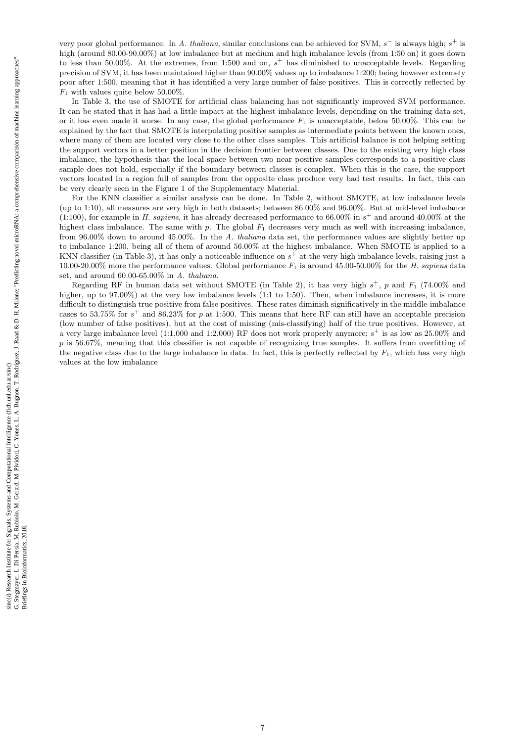very poor global performance. In A. thaliana, similar conclusions can be achieved for SVM,  $s^-$  is always high;  $s^+$  is high (around 80.00-90.00%) at low imbalance but at medium and high imbalance levels (from 1:50 on) it goes down to less than 50.00%. At the extremes, from 1:500 and on,  $s^+$  has diminished to unacceptable levels. Regarding precision of SVM, it has been maintained higher than 90.00% values up to imbalance 1:200; being however extremely poor after 1:500, meaning that it has identified a very large number of false positives. This is correctly reflected by  $F_1$  with values quite below 50.00%.

In Table 3, the use of SMOTE for artificial class balancing has not significantly improved SVM performance. It can be stated that it has had a little impact at the highest imbalance levels, depending on the training data set, or it has even made it worse. In any case, the global performance  $F_1$  is unacceptable, below 50.00%. This can be explained by the fact that SMOTE is interpolating positive samples as intermediate points between the known ones, where many of them are located very close to the other class samples. This artificial balance is not helping setting the support vectors in a better position in the decision frontier between classes. Due to the existing very high class imbalance, the hypothesis that the local space between two near positive samples corresponds to a positive class sample does not hold, especially if the boundary between classes is complex. When this is the case, the support vectors located in a region full of samples from the opposite class produce very bad test results. In fact, this can be very clearly seen in the Figure 1 of the Supplementary Material.

For the KNN classifier a similar analysis can be done. In Table 2, without SMOTE, at low imbalance levels (up to 1:10), all measures are very high in both datasets; between 86.00% and 96.00%. But at mid-level imbalance (1:100), for example in H. sapiens, it has already decreased performance to 66.00% in  $s^+$  and around 40.00% at the highest class imbalance. The same with  $p$ . The global  $F_1$  decreases very much as well with increasing imbalance, from 96.00% down to around 45.00%. In the A. thaliana data set, the performance values are slightly better up to imbalance 1:200, being all of them of around 56.00% at the highest imbalance. When SMOTE is applied to a KNN classifier (in Table 3), it has only a noticeable influence on  $s<sup>+</sup>$  at the very high imbalance levels, raising just a 10.00-20.00% more the performance values. Global performance  $F_1$  is around 45.00-50.00% for the H. sapiens data set, and around  $60.00\textrm{--}65.00\%$  in  $A.$   $thaliana.$ 

Regarding RF in human data set without SMOTE (in Table 2), it has very high  $s^+$ , p and  $F_1$  (74.00% and higher, up to 97.00%) at the very low imbalance levels (1:1 to 1:50). Then, when imbalance increases, it is more difficult to distinguish true positive from false positives. These rates diminish significatively in the middle-imbalance cases to 53.75% for  $s^+$  and 86.23% for p at 1:500. This means that here RF can still have an acceptable precision (low number of false positives), but at the cost of missing (mis-classifying) half of the true positives. However, at a very large imbalance level  $(1:1,000$  and  $1:2,000)$  RF does not work properly anymore;  $s^+$  is as low as 25.00% and p is 56.67%, meaning that this classifier is not capable of recognizing true samples. It suffers from overfitting of the negative class due to the large imbalance in data. In fact, this is perfectly reflected by  $F_1$ , which has very high values at the low imbalance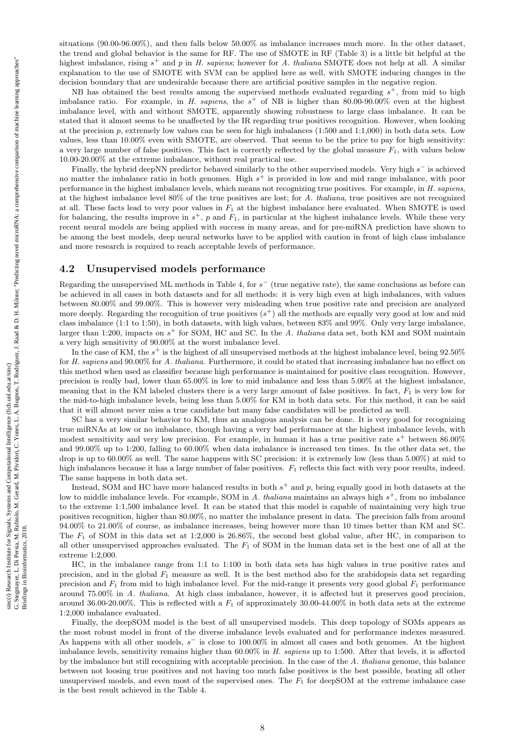sinc(*i*) Research Institute for Signals, Systems and Computational Intelligence (fich.unl.edu.ar/sinc)

sinc(i) Research Institute for Signals, Systems and Computational Intelligence (fich.unl.edu.ar/sinc)

situations (90.00-96.00%), and then falls below 50.00% as imbalance increases much more. In the other dataset, the trend and global behavior is the same for RF. The use of SMOTE in RF (Table 3) is a little bit helpful at the highest imbalance, rising  $s^+$  and p in H. sapiens; however for A. thaliana SMOTE does not help at all. A similar explanation to the use of SMOTE with SVM can be applied here as well, with SMOTE inducing changes in the decision boundary that are undesirable because there are artificial positive samples in the negative region.

NB has obtained the best results among the supervised methods evaluated regarding  $s^+$ , from mid to high imbalance ratio. For example, in H. sapiens, the  $s^+$  of NB is higher than 80.00-90.00% even at the highest imbalance level, with and without SMOTE, apparently showing robustness to large class imbalance. It can be stated that it almost seems to be unaffected by the IR regarding true positives recognition. However, when looking at the precision  $p$ , extremely low values can be seen for high imbalances (1:500 and 1:1,000) in both data sets. Low values, less than 10.00% even with SMOTE, are observed. That seems to be the price to pay for high sensitivity: a very large number of false positives. This fact is correctly reflected by the global measure  $F_1$ , with values below 10.00-20.00% at the extreme imbalance, without real practical use.

Finally, the hybrid deepNN predictor behaved similarly to the other supervised models. Very high s<sup>−</sup> is achieved no matter the imbalance ratio in both genomes. High  $s^+$  is provided in low and mid range imbalance, with poor performance in the highest imbalance levels, which means not recognizing true positives. For example, in H. sapiens, at the highest imbalance level 80% of the true positives are lost; for A. thaliana, true positives are not recognized at all. These facts lead to very poor values in  $F_1$  at the highest imbalance here evaluated. When SMOTE is used for balancing, the results improve in  $s^+$ , p and  $F_1$ , in particular at the highest imbalance levels. While these very recent neural models are being applied with success in many areas, and for pre-miRNA prediction have shown to be among the best models, deep neural networks have to be applied with caution in front of high class imbalance and more research is required to reach acceptable levels of performance.

#### 4.2 Unsupervised models performance

Regarding the unsupervised ML methods in Table 4, for  $s^-$  (true negative rate), the same conclusions as before can be achieved in all cases in both datasets and for all methods: it is very high even at high imbalances, with values between 80.00% and 99.00%. This is however very misleading when true positive rate and precision are analyzed more deeply. Regarding the recognition of true positives  $(s^+)$  all the methods are equally very good at low and mid class imbalance (1:1 to 1:50), in both datasets, with high values, between 83% and 99%. Only very large imbalance, larger than 1:200, impacts on  $s^+$  for SOM, HC and SC. In the A. thaliana data set, both KM and SOM maintain a very high sensitivity of 90.00% at the worst imbalance level.

In the case of KM, the  $s^+$  is the highest of all unsupervised methods at the highest imbalance level, being 92.50% for H. sapiens and 90.00% for A. thaliana. Furthermore, it could be stated that increasing imbalance has no effect on this method when used as classifier because high performance is maintained for positive class recognition. However, precision is really bad, lower than 65.00% in low to mid imbalance and less than 5.00% at the highest imbalance, meaning that in the KM labeled clusters there is a very large amount of false positives. In fact,  $F_1$  is very low for the mid-to-high imbalance levels, being less than 5.00% for KM in both data sets. For this method, it can be said that it will almost never miss a true candidate but many false candidates will be predicted as well.

SC has a very similar behavior to KM, thus an analogous analysis can be done. It is very good for recognizing true miRNAs at low or no imbalance, though having a very bad performance at the highest imbalance levels, with modest sensitivity and very low precision. For example, in human it has a true positive rate  $s^+$  between 86.00% and 99.00% up to 1:200, falling to 60.00% when data imbalance is increased ten times. In the other data set, the drop is up to 60.00% as well. The same happens with SC precision: it is extremely low (less than 5.00%) at mid to high imbalances because it has a large number of false positives.  $F_1$  reflects this fact with very poor results, indeed. The same happens in both data set.

Instead, SOM and HC have more balanced results in both  $s<sup>+</sup>$  and  $p$ , being equally good in both datasets at the low to middle imbalance levels. For example, SOM in A. thaliana maintains an always high  $s^+$ , from no imbalance to the extreme 1:1,500 imbalance level. It can be stated that this model is capable of maintaining very high true positives recognition, higher than 80.00%, no matter the imbalance present in data. The precision falls from around 94.00% to 21.00% of course, as imbalance increases, being however more than 10 times better than KM and SC. The  $F_1$  of SOM in this data set at 1:2,000 is 26.86%, the second best global value, after HC, in comparison to all other unsupervised approaches evaluated. The  $F_1$  of SOM in the human data set is the best one of all at the extreme 1:2,000.

HC, in the imbalance range from 1:1 to 1:100 in both data sets has high values in true positive rates and precision, and in the global  $F_1$  measure as well. It is the best method also for the arabidopsis data set regarding precision and  $F_1$  from mid to high imbalance level. For the mid-range it presents very good global  $F_1$  performance around 75.00% in A. thaliana. At high class imbalance, however, it is affected but it preserves good precision, around 36.00-20.00%. This is reflected with a  $F_1$  of approximately 30.00-44.00% in both data sets at the extreme 1:2,000 imbalance evaluated.

Finally, the deepSOM model is the best of all unsupervised models. This deep topology of SOMs appears as the most robust model in front of the diverse imbalance levels evaluated and for performance indexes measured. As happens with all other models,  $s^-$  is close to 100.00% in almost all cases and both genomes. At the highest imbalance levels, sensitivity remains higher than  $60.00\%$  in H. sapiens up to 1:500. After that levels, it is affected by the imbalance but still recognizing with acceptable precision. In the case of the A. thaliana genome, this balance between not loosing true positives and not having too much false positives is the best possible, beating all other unsupervised models, and even most of the supervised ones. The  $F_1$  for deepSOM at the extreme imbalance case is the best result achieved in the Table 4.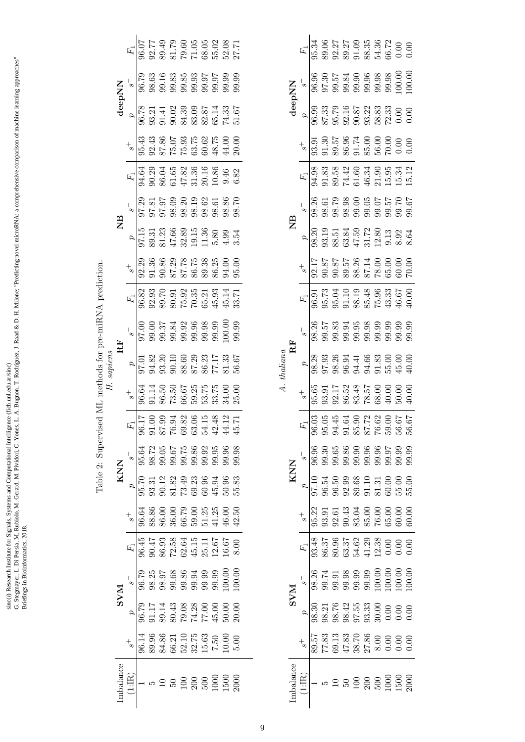sinc(i) Research Institute for Signals, Systems and Computational Intelligence (fich.unl.edu.ar/sinc)<br>G. Stegmayer, L. Di Persia, M. Rubiolo, M. Gerard, M. Pividori, C. Yones, L. A. Bugnon, T. Rodriguez, J. Raad & D. H. Mi G. Stegmayer, L. Di Persia, M. Rubiolo, M. Gerard, M. Pividori, C. Yones, L. A. Bugnon, T. Rodriguez, J. Raad & D. H. Milone; "Predicting novel microRNA: a comprehensive comparison of machine learning approaches" sinc(*i*) Research Institute for Signals, Systems and Computational Intelligence (fich.unl.edu.ar/sinc) Briefings in Bioinformatics, 2018.

Table 2: Supervised ML methods for pre-miRNA prediction. Table 2: Supervised ML methods for pre-miRNA prediction. H. sapiens

|              |                                                                                                                                                                                                                                                                                                                                                                                                                                                                                   |                 | $\begin{array}{r} F_1 \\ \hline 96.07 \\ 96.77 \\ 98.49 \\ 89.79 \\ 79.60 \\ 79.10 \\ 79.10 \\ 89.8 \\ 79.10 \\ 79.10 \\ 89.10 \\ 77.71 \\ 21.71 \\ 22.71 \\ 23.71 \\ 24.72 \\ 25.73 \\ 26.73 \\ 27.71 \\ 28.75 \\ 29.73 \\ 20.75 \\ 21.75 \\ 22.75 \\ 23.75 \\ 24.75 \\ 25.75 \\ 26.75 \\ 27.75 \\ 28.$                                                                                                                                                                       |  |  |  |  |
|--------------|-----------------------------------------------------------------------------------------------------------------------------------------------------------------------------------------------------------------------------------------------------------------------------------------------------------------------------------------------------------------------------------------------------------------------------------------------------------------------------------|-----------------|--------------------------------------------------------------------------------------------------------------------------------------------------------------------------------------------------------------------------------------------------------------------------------------------------------------------------------------------------------------------------------------------------------------------------------------------------------------------------------|--|--|--|--|
| deepNN       |                                                                                                                                                                                                                                                                                                                                                                                                                                                                                   |                 |                                                                                                                                                                                                                                                                                                                                                                                                                                                                                |  |  |  |  |
|              |                                                                                                                                                                                                                                                                                                                                                                                                                                                                                   |                 | $\begin{array}{r} \mathbb{P}\left( \mathbb{R}^{3}, \mathbb{R}^{3}, \mathbb{R}^{3}, \mathbb{R}^{3}, \mathbb{R}^{3}, \mathbb{R}^{3}, \mathbb{R}^{3}, \mathbb{R}^{3}, \mathbb{R}^{3}, \mathbb{R}^{3}, \mathbb{R}^{3}, \mathbb{R}^{3}, \mathbb{R}^{3}, \mathbb{R}^{3}, \mathbb{R}^{3}, \mathbb{R}^{3}, \mathbb{R}^{3}, \mathbb{R}^{3}, \mathbb{R}^{3}, \mathbb{R}^{3}, \mathbb{R}^{3}, \mathbb{R}^{3}, \mathbb{R}^{$                                                               |  |  |  |  |
|              |                                                                                                                                                                                                                                                                                                                                                                                                                                                                                   |                 |                                                                                                                                                                                                                                                                                                                                                                                                                                                                                |  |  |  |  |
|              |                                                                                                                                                                                                                                                                                                                                                                                                                                                                                   |                 | $\frac{F_1}{94.64}$<br>$\frac{1}{94.63}$<br>$\frac{3}{95.86}$<br>$\frac{3}{95.65}$<br>$\frac{3}{95.82}$<br>$\frac{3}{95.82}$<br>$\frac{3}{95.82}$<br>$\frac{3}{95.82}$<br>$\frac{3}{95.82}$<br>$\frac{3}{95.82}$                                                                                                                                                                                                                                                               |  |  |  |  |
| $\mathbb{E}$ |                                                                                                                                                                                                                                                                                                                                                                                                                                                                                   |                 |                                                                                                                                                                                                                                                                                                                                                                                                                                                                                |  |  |  |  |
|              |                                                                                                                                                                                                                                                                                                                                                                                                                                                                                   |                 |                                                                                                                                                                                                                                                                                                                                                                                                                                                                                |  |  |  |  |
|              | $\begin{array}{c c} * & * & * \\ * & * & * \\ * & * & * \\ * & * & * & * \\ * & * & * & * \\ * & * & * & * \\ * & * & * & * \\ * & * & * & * \\ * & * & * & * \\ * & * & * & * \\ * & * & * & * \\ * & * & * & * \\ * & * & * & * \\ * & * & * & * \\ * & * & * & * \\ * & * & * & * & * \\ * & * & * & * & * \\ * & * & * & * & * \\ * & * & * & * & * \\ * & * & * & * & * & * \\ * & * & * & * & * & * \\ * & * & * & * & * & * \\ * & * & * & * & * & * \\ * & * & * & * & *$ |                 |                                                                                                                                                                                                                                                                                                                                                                                                                                                                                |  |  |  |  |
|              |                                                                                                                                                                                                                                                                                                                                                                                                                                                                                   |                 | $\begin{array}{l} F_1 \\ \hline 98.33 \\ 96.33 \\ 28.35 \\ 10.59 \\ 20.59 \\ 21.71 \\ 22.83 \\ 23.71 \\ 24.71 \\ 25.71 \\ 26.72 \\ 27.71 \\ 28.73 \\ 29.71 \\ 20.73 \\ 23.71 \\ 24.73 \\ 25.71 \\ 26.73 \\ 27.71 \\ 28.73 \\ 29.73 \\ 20.75 \\ 21.75 \\ 22.75 \\ 23.77 \\ 24.77 \\ 25.79 \\ 26.75 \\ 27$                                                                                                                                                                       |  |  |  |  |
|              |                                                                                                                                                                                                                                                                                                                                                                                                                                                                                   |                 |                                                                                                                                                                                                                                                                                                                                                                                                                                                                                |  |  |  |  |
|              |                                                                                                                                                                                                                                                                                                                                                                                                                                                                                   |                 | $\begin{array}{r} \n 2 \overline{)1 \overline{01}} \\  0 \overline{)7} \overline{01} \\  3 \overline{)3} \overline{)3} \overline{)1} \overline{0} \overline{0} \\  3 \overline{)3} \overline{)3} \overline{0} \overline{)3} \overline{0} \overline{3} \overline{)3} \overline{1} \overline{1} \overline{1} \overline{3} \overline{3} \\  5 \overline{)3} \overline{)3} \overline{0} \overline{)3} \overline{0} \overline{)3} \overline{0} \overline{0} \overline{1} \overline$ |  |  |  |  |
|              | $\begin{array}{c} \ast \\ \ast \\ \hline 96.51 \\ \hline 96.51 \\ \hline 96.52 \\ \hline 14.50 \\ \hline 56.50 \\ \hline 66.51 \\ \hline 76.50 \\ \hline 87.53 \\ \hline 38.53 \\ \hline 35.0 \\ \hline \end{array}$                                                                                                                                                                                                                                                              |                 |                                                                                                                                                                                                                                                                                                                                                                                                                                                                                |  |  |  |  |
|              |                                                                                                                                                                                                                                                                                                                                                                                                                                                                                   |                 | $\begin{array}{r} F_1 \\ \hline 96.17 \\ 96.19 \\ 27.19 \\ 38.19 \\ 49.19 \\ 50.19 \\ 60.19 \\ 75.19 \\ 75.19 \\ 88.19 \\ 19.19 \\ 19.19 \\ 14.19 \\ 15.11 \\ 16.19 \\ 17.1 \\ 18.19 \\ 19.10 \\ 19.11 \\ 19.11 \\ 19.12 \\ 19.13 \\ 19.13 \\ 19.13 \\ 19.13 \\ 19.13 \\ 19.13 \\ 19.13 \\ 19.13 \\ 19.$                                                                                                                                                                       |  |  |  |  |
| KNN          |                                                                                                                                                                                                                                                                                                                                                                                                                                                                                   |                 | $\begin{array}{c} \times \left[\begin{array}{c} \frac{1}{2} \\ \frac{1}{2} \\ \frac{1}{2} \\ \frac{1}{2} \\ \frac{1}{2} \\ \frac{1}{2} \\ \frac{1}{2} \\ \frac{1}{2} \\ \frac{1}{2} \\ \frac{1}{2} \\ \frac{1}{2} \\ \frac{1}{2} \\ \frac{1}{2} \\ \frac{1}{2} \\ \frac{1}{2} \\ \frac{1}{2} \\ \frac{1}{2} \\ \frac{1}{2} \\ \frac{1}{2} \\ \frac{1}{2} \\ \frac{1}{2} \\ \frac{1}{2} \\ \frac{1}{2} \\ \frac{1}{2} \\ \frac{1}{2} \\ \frac$                                  |  |  |  |  |
|              |                                                                                                                                                                                                                                                                                                                                                                                                                                                                                   |                 |                                                                                                                                                                                                                                                                                                                                                                                                                                                                                |  |  |  |  |
|              | $\begin{array}{c c} \ast & \ast & \ast \\ \hline \ast & \ast & \ast & \ast \\ \hline \ast & \ast & \ast & \ast \\ \hline \ast & \ast & \ast & \ast \\ \hline \ast & \ast & \ast & \ast \\ \hline \ast & \ast & \ast & \ast \\ \hline \ast & \ast & \ast & \ast \end{array}$                                                                                                                                                                                                       |                 |                                                                                                                                                                                                                                                                                                                                                                                                                                                                                |  |  |  |  |
|              |                                                                                                                                                                                                                                                                                                                                                                                                                                                                                   |                 | $\begin{array}{r} F_1 \\ \hline 96.45 \\ 96.47 \\ 96.93 \\ 86.88 \\ 62.64 \\ 11.1 \\ 10.67 \\ 10.67 \\ 10.67 \\ 10.67 \\ \end{array}$                                                                                                                                                                                                                                                                                                                                          |  |  |  |  |
| <b>NAS</b>   |                                                                                                                                                                                                                                                                                                                                                                                                                                                                                   |                 |                                                                                                                                                                                                                                                                                                                                                                                                                                                                                |  |  |  |  |
|              |                                                                                                                                                                                                                                                                                                                                                                                                                                                                                   |                 | $\begin{array}{c} 0.000000\\ {\rm \textbf{0.7}}\\ 0.000000\\ {\rm \textbf{0.7}}\\ 0.00000\\ {\rm \textbf{0.8}}\\ 0.00000\\ {\rm \textbf{0.8}}\\ 0.00000\\ {\rm \textbf{0.8}}\\ 0.0000\\ {\rm \textbf{0.8}}\\ 0.0000\\ {\rm \textbf{0.8}}\\ 0.0000\\ {\rm \textbf{0.8}}\\ 0.0000\\ {\rm \textbf{0.8}}\\ 0.0000\\ {\rm \textbf{0.8}}\\ 0.0000\\ {\rm \textbf{0.$                                                                                                                 |  |  |  |  |
|              | $\begin{array}{r} \n\ast \\  \hline\n 96.3888 \\  89.319 \\  89.521 \\  12.59 \\  13.59 \\  14.59 \\  15.50 \\  16.50 \\  5.5\n\end{array}$                                                                                                                                                                                                                                                                                                                                       |                 |                                                                                                                                                                                                                                                                                                                                                                                                                                                                                |  |  |  |  |
| mbalance     |                                                                                                                                                                                                                                                                                                                                                                                                                                                                                   | LO <sub>1</sub> | $\begin{array}{c} 1000 \\ 1000 \\ 1000 \\ 2000 \\ 1000 \\ 1000 \\ 1000 \\ 1000 \\ 1000 \\ \end{array}$                                                                                                                                                                                                                                                                                                                                                                         |  |  |  |  |

|  |            |                                                                                                                                                                                                                                                                                                                                    |    | $\begin{array}{r} F_1 \\ \hline \rule{0pt}{2.2ex} \rule{0pt}{2.2ex} \rule{0pt}{2.2ex} \rule{0pt}{2.2ex} \rule{0pt}{2.2ex} \rule{0pt}{2.2ex} \rule{0pt}{2.2ex} \rule{0pt}{2.2ex} \rule{0pt}{2.2ex} \rule{0pt}{2.2ex} \rule{0pt}{2.2ex} \rule{0pt}{2.2ex} \rule{0pt}{2.2ex} \rule{0pt}{2.2ex} \rule{0pt}{2.2ex} \rule{0pt}{2.2ex} \rule{0pt}{2.2ex} \rule{0pt}{2.2ex} \rule{0pt}{2.$                                                                                                                                                                                                                    |       |    |  |                                                                                                                                                                                                                                                                                                               |  |  |  |  |  |
|--|------------|------------------------------------------------------------------------------------------------------------------------------------------------------------------------------------------------------------------------------------------------------------------------------------------------------------------------------------|----|-------------------------------------------------------------------------------------------------------------------------------------------------------------------------------------------------------------------------------------------------------------------------------------------------------------------------------------------------------------------------------------------------------------------------------------------------------------------------------------------------------------------------------------------------------------------------------------------------------|-------|----|--|---------------------------------------------------------------------------------------------------------------------------------------------------------------------------------------------------------------------------------------------------------------------------------------------------------------|--|--|--|--|--|
|  |            | $\begin{array}{cccccc} \text{deep NN} & & & & \\ \text{deep NN} & & & & \\ \hline p & & 96.96 & 96.96 & 9 \\ \hline 95.73 & 97.30 & 8 \\ 95.75 & 99.57 & 8 \\ 92.16 & 99.84 & 8 \\ 90.87 & 99.90 & 8 \\ 90.87 & 99.90 & 8 \\ 90.83 & 22 & 99.98 & 8 \\ 72.33 & 99.98 & 8 \\ 72.33 & 99.98 & 1 \\ 0.00 & 100.00 & 1 \\ \end{array}$ |    |                                                                                                                                                                                                                                                                                                                                                                                                                                                                                                                                                                                                       |       |    |  |                                                                                                                                                                                                                                                                                                               |  |  |  |  |  |
|  |            |                                                                                                                                                                                                                                                                                                                                    |    |                                                                                                                                                                                                                                                                                                                                                                                                                                                                                                                                                                                                       |       |    |  |                                                                                                                                                                                                                                                                                                               |  |  |  |  |  |
|  |            |                                                                                                                                                                                                                                                                                                                                    |    | $\begin{array}{c}\n * \\  * \\  93.30 \\  36.37 \\  57.74 \\  88.61 \\  70.00 \\  70.00 \\  0.00 \\  0.00 \\  0.00\n\end{array}$                                                                                                                                                                                                                                                                                                                                                                                                                                                                      |       |    |  |                                                                                                                                                                                                                                                                                                               |  |  |  |  |  |
|  |            |                                                                                                                                                                                                                                                                                                                                    |    | $\begin{array}{r l} F_1 \\ \hline 94.98 \\ 91.83 \\ 91.84 \\ 92.84 \\ 93.84 \\ 15.03 \\ 16.34 \\ 17.4 \\ 18.12 \\ 15.12 \\ \hline \end{array}$                                                                                                                                                                                                                                                                                                                                                                                                                                                        |       |    |  |                                                                                                                                                                                                                                                                                                               |  |  |  |  |  |
|  |            |                                                                                                                                                                                                                                                                                                                                    |    |                                                                                                                                                                                                                                                                                                                                                                                                                                                                                                                                                                                                       |       |    |  |                                                                                                                                                                                                                                                                                                               |  |  |  |  |  |
|  |            |                                                                                                                                                                                                                                                                                                                                    |    | <br>  8 3 5 5 8 6 7 8 7 8 7 8<br>  8 8 8 8 5 4 7 9 8 9 8 8                                                                                                                                                                                                                                                                                                                                                                                                                                                                                                                                            |       |    |  |                                                                                                                                                                                                                                                                                                               |  |  |  |  |  |
|  |            |                                                                                                                                                                                                                                                                                                                                    |    |                                                                                                                                                                                                                                                                                                                                                                                                                                                                                                                                                                                                       |       |    |  |                                                                                                                                                                                                                                                                                                               |  |  |  |  |  |
|  |            |                                                                                                                                                                                                                                                                                                                                    |    | $\begin{array}{ l l }F_1\\ \hline 96.91\\ 95.73\\ 95.04\\ 95.10\\ 86.19\\ 86.48\\ 85.48\\ 75.33\\ 96.67\\ 49.60\\ 40.00\\ 40.00\\ 40.00\\ 40.00\\ 40.00\\ 40.00\\ 40.00\\ 40.00\\ 40.00\\ 40.00\\ 40.00\\ 40.00\\ 40.00\\ 40.00\\ 40.00\\ 40.00\\ 40.00\\ 40.00\\ 40.00$                                                                                                                                                                                                                                                                                                                              |       |    |  |                                                                                                                                                                                                                                                                                                               |  |  |  |  |  |
|  |            |                                                                                                                                                                                                                                                                                                                                    |    | $\begin{array}{c c} \hline \circ & \circ & \circ & \circ & \circ \\ \hline \circ & \circ & \circ & \circ & \circ & \circ \\ \hline \circ & \circ & \circ & \circ & \circ & \circ & \circ \\ \hline \circ & \circ & \circ & \circ & \circ & \circ & \circ \\ \hline \circ & \circ & \circ & \circ & \circ & \circ & \circ \\ \hline \circ & \circ & \circ & \circ & \circ & \circ & \circ \\ \hline \circ & \circ & \circ & \circ & \circ & \circ & \circ \\ \hline \circ & \circ & \circ & \circ & \circ & \circ & \circ \\ \hline \circ & \circ & \circ & \circ & \circ & \circ & \circ \\ \hline \$ |       |    |  |                                                                                                                                                                                                                                                                                                               |  |  |  |  |  |
|  |            |                                                                                                                                                                                                                                                                                                                                    |    | $\begin{array}{r} \mathbb{R} \\ \mathbb{R} \\ \mathbb{S} \\ \mathbb{S} \\ \mathbb{S} \\ \mathbb{S} \\ \mathbb{S} \\ \mathbb{S} \\ \mathbb{S} \\ \mathbb{S} \\ \mathbb{S} \\ \mathbb{S} \\ \mathbb{S} \\ \mathbb{S} \\ \mathbb{S} \\ \mathbb{S} \\ \mathbb{S} \\ \mathbb{S} \\ \mathbb{S} \\ \mathbb{S} \\ \mathbb{S} \\ \mathbb{S} \\ \mathbb{S} \\ \mathbb{S} \\ \mathbb{S} \\ \mathbb{S} \\ \mathbb{S} \\ \mathbb{S} \\ \mathbb{S} \\ \mathbb{S} \\ \mathbb$                                                                                                                                        |       |    |  |                                                                                                                                                                                                                                                                                                               |  |  |  |  |  |
|  |            |                                                                                                                                                                                                                                                                                                                                    |    |                                                                                                                                                                                                                                                                                                                                                                                                                                                                                                                                                                                                       |       |    |  |                                                                                                                                                                                                                                                                                                               |  |  |  |  |  |
|  |            |                                                                                                                                                                                                                                                                                                                                    | S. |                                                                                                                                                                                                                                                                                                                                                                                                                                                                                                                                                                                                       | 94.45 | 64 |  | 91.64<br>85.90<br>87.72<br>76.62<br>56.67<br>56.67                                                                                                                                                                                                                                                            |  |  |  |  |  |
|  |            |                                                                                                                                                                                                                                                                                                                                    |    |                                                                                                                                                                                                                                                                                                                                                                                                                                                                                                                                                                                                       |       |    |  |                                                                                                                                                                                                                                                                                                               |  |  |  |  |  |
|  |            |                                                                                                                                                                                                                                                                                                                                    |    |                                                                                                                                                                                                                                                                                                                                                                                                                                                                                                                                                                                                       |       |    |  |                                                                                                                                                                                                                                                                                                               |  |  |  |  |  |
|  |            |                                                                                                                                                                                                                                                                                                                                    |    |                                                                                                                                                                                                                                                                                                                                                                                                                                                                                                                                                                                                       |       |    |  |                                                                                                                                                                                                                                                                                                               |  |  |  |  |  |
|  |            |                                                                                                                                                                                                                                                                                                                                    |    |                                                                                                                                                                                                                                                                                                                                                                                                                                                                                                                                                                                                       |       |    |  |                                                                                                                                                                                                                                                                                                               |  |  |  |  |  |
|  | <b>NNS</b> |                                                                                                                                                                                                                                                                                                                                    |    | $\begin{array}{l} 8.877 \\ 8.999 \\ 9.999 \\ 9.999 \\ 9.999 \\ 9.999 \\ 9.999 \\ 9.999 \\ 9.999 \\ 1.000 \\ 1.000 \\ 1.000 \\ 1.000 \\ 1.000 \\ 1.000 \\ 1.000 \\ 1.000 \\ 1.000 \\ 1.000 \\ 1.000 \\ 1.000 \\ 1.000 \\ 1.000 \\ 1.000 \\ 1.000 \\ 1.000 \\ 1.000 \\ 1.000 \\ 1.000 \\ 1.000 \\ 1.$                                                                                                                                                                                                                                                                                                   |       |    |  |                                                                                                                                                                                                                                                                                                               |  |  |  |  |  |
|  |            |                                                                                                                                                                                                                                                                                                                                    |    |                                                                                                                                                                                                                                                                                                                                                                                                                                                                                                                                                                                                       |       |    |  |                                                                                                                                                                                                                                                                                                               |  |  |  |  |  |
|  |            |                                                                                                                                                                                                                                                                                                                                    |    |                                                                                                                                                                                                                                                                                                                                                                                                                                                                                                                                                                                                       |       |    |  |                                                                                                                                                                                                                                                                                                               |  |  |  |  |  |
|  |            |                                                                                                                                                                                                                                                                                                                                    |    |                                                                                                                                                                                                                                                                                                                                                                                                                                                                                                                                                                                                       |       |    |  | $\begin{array}{c} 1000 \\ 1000 \\ 1000 \\ 1000 \\ 1000 \\ 1000 \\ 1000 \\ 1000 \\ 1000 \\ 1000 \\ 1000 \\ 1000 \\ 1000 \\ 1000 \\ 1000 \\ 1000 \\ 1000 \\ 1000 \\ 1000 \\ 1000 \\ 1000 \\ 1000 \\ 1000 \\ 1000 \\ 1000 \\ 1000 \\ 1000 \\ 1000 \\ 1000 \\ 1000 \\ 1000 \\ 1000 \\ 1000 \\ 1000 \\ 1000 \\ 10$ |  |  |  |  |  |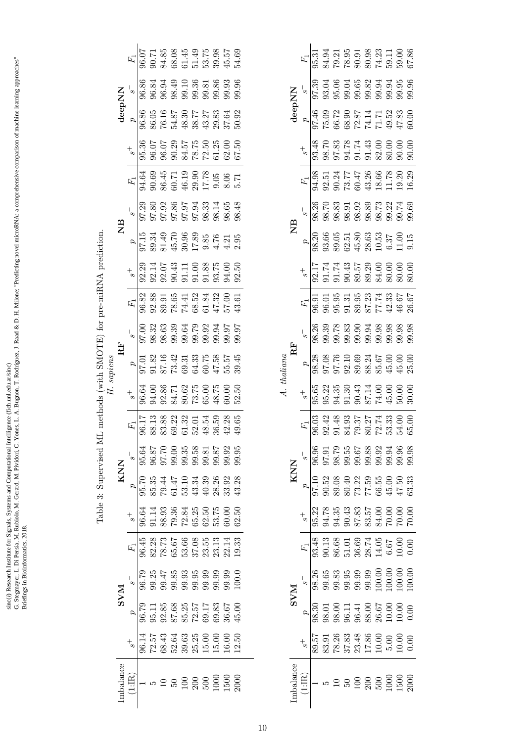sinc()) Research Institute for Signals, Systems and Computational Intelligence (fich.unl.edu.ar/sinc)<br>G. Stegmayer, L. Di Persia, M. Rubiolo, M. Gerard, M. Pividori, C. Yones, L. A. Bugnon, T. Rodriguez, J. Raad & D. H. Mi G. Stegmayer, L. Di Persia, M. Rubiolo, M. Gerard, M. Pividori, C. Yones, L. A. Bugnon, T. Rodriguez, J. Raad & D. H. Milone; "Predicting novel microRNA: a comprehensive comparison of machine learning approaches" sinc(*i*) Research Institute for Signals, Systems and Computational Intelligence (fich.unl.edu.ar/sinc) Briefings in Bioinformatics, 2018.

Table 3: Supervised ML methods (with SMOTE) for pre-miRNA prediction. Table 3: Supervised ML methods (with SMOTE) for pre-miRNA prediction.  $H.$   $\emph{supens}$ 

|              |                                                                                                                                                                                                                                                                                                                                                                             | $F_1$<br>$F_0$ , $F_1$<br>$96.07$<br>$36.808$<br>$68.0849$<br>$56.07$<br>$56.09$<br>$56.09$<br>$56.69$                                                                                                                                                                                                                                                                                                                                                                                                                                                                                       |  |  |  |  |
|--------------|-----------------------------------------------------------------------------------------------------------------------------------------------------------------------------------------------------------------------------------------------------------------------------------------------------------------------------------------------------------------------------|----------------------------------------------------------------------------------------------------------------------------------------------------------------------------------------------------------------------------------------------------------------------------------------------------------------------------------------------------------------------------------------------------------------------------------------------------------------------------------------------------------------------------------------------------------------------------------------------|--|--|--|--|
|              |                                                                                                                                                                                                                                                                                                                                                                             | $\begin{array}{c c} \hline \ast & \circ & \circ & \circ & \circ & \circ \\ \hline \ast & \circ & \circ & \circ & \circ & \circ & \circ \\ \hline \ast & \circ & \circ & \circ & \circ & \circ & \circ \\ \hline \ast & \circ & \circ & \circ & \circ & \circ & \circ \\ \hline \ast & \circ & \circ & \circ & \circ & \circ & \circ \\ \hline \ast & \circ & \circ & \circ & \circ & \circ & \circ \\ \hline \ast & \circ & \circ & \circ & \circ & \circ & \circ \\ \hline \ast & \circ & \circ & \circ & \circ & \circ & \circ \\ \hline \ast & \circ & \circ & \circ & \circ & \circ & \$ |  |  |  |  |
| deepNN       |                                                                                                                                                                                                                                                                                                                                                                             | $\begin{array}{r} p \\ \hline 96.86 \\ 96.05 \\ 86.05 \\ 86.15 \\ 87.7 \\ 77.7 \\ 83.30 \\ 77.7 \\ 79.3 \\ 83.3 \\ 90.9 \\ 50.9 \\ 50.9 \\ \end{array}$                                                                                                                                                                                                                                                                                                                                                                                                                                      |  |  |  |  |
|              |                                                                                                                                                                                                                                                                                                                                                                             |                                                                                                                                                                                                                                                                                                                                                                                                                                                                                                                                                                                              |  |  |  |  |
|              |                                                                                                                                                                                                                                                                                                                                                                             |                                                                                                                                                                                                                                                                                                                                                                                                                                                                                                                                                                                              |  |  |  |  |
| $\mathbb{E}$ |                                                                                                                                                                                                                                                                                                                                                                             |                                                                                                                                                                                                                                                                                                                                                                                                                                                                                                                                                                                              |  |  |  |  |
|              |                                                                                                                                                                                                                                                                                                                                                                             | $\begin{array}{r} \mathbb{P}\left[\begin{matrix} 1.5 \\ 1.5 \\ 0.7 \\ 3.6 \end{matrix}\right] \mathbb{P}\left[\begin{matrix} 2.5 \\ 2.5 \\ 2.5 \\ 2.5 \end{matrix}\right] \mathbb{P}\left[\begin{matrix} 2.5 \\ 2.5 \\ 2.5 \\ 2.5 \end{matrix}\right] \mathbb{P}\left[\begin{matrix} 2.5 \\ 2.5 \\ 2.5 \\ 2.5 \end{matrix}\right] \mathbb{P}\left[\begin{matrix} 2.5 \\ 2.5 \\ 2.5 \\ 2.5 \end{matrix}\right] \mathbb{P}\left[\begin{matrix} 2.5 \\ 2.5 \\ $                                                                                                                                 |  |  |  |  |
|              | $\begin{array}{r} \n \ast \\  \hline\n 9.23 \\  9.31 \\  1.5 \\  1.5 \\  1.6 \\  1.7 \\  1.8 \\  1.9 \\  1.1 \\  1.6 \\  1.6 \\  1.7 \\  1.8 \\  1.7 \\  1.8 \\  1.7 \\  1.8 \\  1.7 \\  1.8 \\  1.7 \\  1.8 \\  1.7 \\  1.8 \\  1.7 \\  1.8 \\  1.7 \\  1.8 \\  1.7 \\  1.8 \\  1.7 \\  1.8 \\  1.7 \\  1.8 \\  1.7 \\  1.8 \\  1.7 \\  1.8 \\  1.7 \\  1.8 \\  1.8 \\  1$ |                                                                                                                                                                                                                                                                                                                                                                                                                                                                                                                                                                                              |  |  |  |  |
|              |                                                                                                                                                                                                                                                                                                                                                                             | $\begin{array}{r} F_1 \\ \hline 96.82 \\ 96.83 \\ 92.85 \\ 92.86 \\ 12.42 \\ 13.43 \\ 14.32 \\ 15.61 \\ 16.43 \\ 17.33 \\ 18.53 \\ 19.61 \\ 13.61 \\ 14.53 \\ 15.74 \\ 19.8 \\ 19.8 \\ 10.8 \\ 13.61 \\ 14.53 \\ 15.7 \\ 16.8 \\ 17.8 \\ 18.8 \\ 19.8 \\ 19.8 \\ 10.8 \\ 13.8 \\ 14.8 \\ 15.7 \\ 16.8 \\ 17$                                                                                                                                                                                                                                                                                 |  |  |  |  |
|              |                                                                                                                                                                                                                                                                                                                                                                             | $\begin{array}{c c} \hline \circ & \circ & \circ & \circ & \circ \\ \hline \circ & \circ & \circ & \circ & \circ & \circ \\ \hline \circ & \circ & \circ & \circ & \circ & \circ \\ \hline \circ & \circ & \circ & \circ & \circ & \circ \\ \hline \circ & \circ & \circ & \circ & \circ & \circ & \circ \\ \hline \circ & \circ & \circ & \circ & \circ & \circ & \circ \\ \hline \circ & \circ & \circ & \circ & \circ & \circ & \circ \\ \hline \circ & \circ & \circ & \circ & \circ & \circ & \circ \\ \hline \end{array}$                                                              |  |  |  |  |
|              |                                                                                                                                                                                                                                                                                                                                                                             | $\begin{array}{r} \mathbb{P} \\ \hline 61.01 \\ 97.01 \\ 97.02 \\ 87.03 \\ 19.03 \\ 10.03 \\ 15.03 \\ 16.03 \\ 17.03 \\ 18.03 \\ 19.03 \\ 19.03 \\ 19.03 \\ 19.03 \\ 19.03 \\ 19.03 \\ 19.03 \\ 19.03 \\ 19.03 \\ 19.03 \\ 19.03 \\ 19.03 \\ 19.03 \\ 19.03 \\ 19.03 \\ 19.03 \\ 19.03 \\ 19.03 \\ 19.03 \\$                                                                                                                                                                                                                                                                                 |  |  |  |  |
|              |                                                                                                                                                                                                                                                                                                                                                                             |                                                                                                                                                                                                                                                                                                                                                                                                                                                                                                                                                                                              |  |  |  |  |
|              |                                                                                                                                                                                                                                                                                                                                                                             | $\begin{array}{r} F_1 \\ \hline \text{96.17} \\ \text{98.23} \\ \text{89.38} \\ \text{89.21} \\ \text{89.33} \\ \text{89.43} \\ \text{90.53} \\ \text{91.54} \\ \text{92.55} \\ \text{93.56} \\ \text{94.57} \\ \text{95.58} \\ \text{96.58} \\ \text{97.58} \\ \text{98.58} \\ \text{99.58} \\ \text{99.58} \\ \text{90.58} \\ \text{91.58} \\ \text{92.58} \\ \text{93.$                                                                                                                                                                                                                   |  |  |  |  |
| KNN          | $\begin{tabular}{ c c c c } \hline $s$ & $p$ & $s^-$ \\ \hline 96.64 & 95.70 & 95.64 \\ 91.14 & 85.35 & 96.87 \\ 88.93 & 79.44 & 97.70 \\ 79.36 & 61.47 & 99.00 \\ 65.25 & 43.34 & 99.35 \\ 62.50 & 40.39 & 99.81 \\ 53.75 & 28.26 & 99.87 \\ 60.00 & 33.92 & 99.92 \\ 60.250 & 40.39 & 9$                                                                                  |                                                                                                                                                                                                                                                                                                                                                                                                                                                                                                                                                                                              |  |  |  |  |
|              |                                                                                                                                                                                                                                                                                                                                                                             |                                                                                                                                                                                                                                                                                                                                                                                                                                                                                                                                                                                              |  |  |  |  |
|              |                                                                                                                                                                                                                                                                                                                                                                             |                                                                                                                                                                                                                                                                                                                                                                                                                                                                                                                                                                                              |  |  |  |  |
|              |                                                                                                                                                                                                                                                                                                                                                                             | $\begin{array}{ l l l } \hline F_1 \\ \hline 96.45 \\ 82.28 \\ 78.73 \\ 18.65 \\ 65.66 \\ 53.68 \\ 73.33 \\ 22.14 \\ 23.31 \\ 19.33 \\ 10.33 \\ \hline \end{array}$                                                                                                                                                                                                                                                                                                                                                                                                                          |  |  |  |  |
| <b>NAS</b>   |                                                                                                                                                                                                                                                                                                                                                                             |                                                                                                                                                                                                                                                                                                                                                                                                                                                                                                                                                                                              |  |  |  |  |
|              |                                                                                                                                                                                                                                                                                                                                                                             | $\begin{array}{c cc} p & s \\ \hline 96.79 & 96.79 \\ 95.11 & 99.25 \\ 92.85 & 99.47 \\ 87.68 & 99.85 \\ 85.25 & 99.93 \\ 69.17 & 99.99 \\ 69.17 & 99.99 \\ 69.33 & 99.99 \\ 69.33 & 99.99 \\ 69.33 & 99.99 \\ 69.67 & 99.99 \\ 36.67 & 99.99 \\ 45.00 & 100.0 \\ 45.00 & 100.0 \\ \end{array}$                                                                                                                                                                                                                                                                                              |  |  |  |  |
|              | $\begin{array}{c c} \ast & \ast & \ast \\ \hline \ast & 14 & 75 \\ \hline 96 & 14 & 32 \\ 18 & 15 & 17 \\ 19 & 19 & 19 \\ 19 & 19 & 19 \\ 10 & 19 & 19 \\ 11 & 19 & 19 \\ 12 & 13 & 19 \\ 13 & 14 & 19 \\ 15 & 19 & 19 \\ 16 & 19 & 19 \\ 17 & 19 & 19 \\ 18 & 19 & 19 \\ 19 & 19 & 19 \\ 10 & 19 & 19 \\ 11 & 19 & 19 \\ 12 & $                                            |                                                                                                                                                                                                                                                                                                                                                                                                                                                                                                                                                                                              |  |  |  |  |
| nbalanc      |                                                                                                                                                                                                                                                                                                                                                                             |                                                                                                                                                                                                                                                                                                                                                                                                                                                                                                                                                                                              |  |  |  |  |

|             |            |                                                                                                                                                                                                                                                                                                                                         |  | $\begin{array}{r} F_1 \\ \hline 1 \\ 95.31 \\ 84.91 \\ 78.95 \\ 78.95 \\ 80.91 \\ 80.32 \\ 80.33 \\ 74.1 \\ 80.3 \\ 80.3 \\ 74.1 \\ 90.0 \\ 11.0 \\ 90.0 \\ 10.0 \\ 10.0 \\ 10.0 \\ 10.0 \\ 10.0 \\ 10.0 \\ 10.0 \\ 10.0 \\ 10.0 \\ 10.0 \\ 10.0 \\ 10.0 \\ 10.0 \\ 10.0 \\ 10.0 \\ 10.0 \\ 10.0 \\ 10.0 \\ 10.$                                                                                                                                                                |  |                                                                                                                                             |                                                                                                                                                    |  |  |  |
|-------------|------------|-----------------------------------------------------------------------------------------------------------------------------------------------------------------------------------------------------------------------------------------------------------------------------------------------------------------------------------------|--|---------------------------------------------------------------------------------------------------------------------------------------------------------------------------------------------------------------------------------------------------------------------------------------------------------------------------------------------------------------------------------------------------------------------------------------------------------------------------------|--|---------------------------------------------------------------------------------------------------------------------------------------------|----------------------------------------------------------------------------------------------------------------------------------------------------|--|--|--|
|             |            | $\begin{array}{cccc} \text{deepNN} & & \\ \text{p} & \text{s} & \\ \hline \\ \text{p} & 97.39 & \\ \text{p} & 93.04 & \\ 70 & 93.06 & \\ 7 & 99.06 & \\ 7 & 99.05 & \\ 8 & 8 & \\ 10 & 99.65 & \\ 99.82 & 8 & \\ 99.93 & 14 & \\ 1 & 99.82 & \\ 99.93 & 14 & \\ 99.93 & 59.0 \\ 99.05 & 59.0 \\ \end{array}$                            |  |                                                                                                                                                                                                                                                                                                                                                                                                                                                                                 |  |                                                                                                                                             |                                                                                                                                                    |  |  |  |
|             |            |                                                                                                                                                                                                                                                                                                                                         |  | $\begin{array}{c} p \\ \hline 97.46 \\ 75.09 \\ 75.09 \\ 66.32 \\ 87.2 \\ 77.1 \\ 77.1 \\ 78.33 \\ 79.0 \\ 79.0 \\ 79.0 \\ 79.0 \\ 79.0 \\ 79.0 \\ 79.0 \\ 79.0 \\ 79.0 \\ 79.0 \\ 79.0 \\ 79.0 \\ 79.0 \\ 79.0 \\ 79.0 \\ 79.0 \\ 79.0 \\ 79.0 \\ 79.0 \\ 79.0 \\ 79.0 \\ 79.0 \\ 79.0 \\ 79.0 \\ 79.0 \\ 79.0$                                                                                                                                                                |  |                                                                                                                                             |                                                                                                                                                    |  |  |  |
|             |            |                                                                                                                                                                                                                                                                                                                                         |  |                                                                                                                                                                                                                                                                                                                                                                                                                                                                                 |  |                                                                                                                                             |                                                                                                                                                    |  |  |  |
|             |            |                                                                                                                                                                                                                                                                                                                                         |  |                                                                                                                                                                                                                                                                                                                                                                                                                                                                                 |  |                                                                                                                                             |                                                                                                                                                    |  |  |  |
|             |            |                                                                                                                                                                                                                                                                                                                                         |  |                                                                                                                                                                                                                                                                                                                                                                                                                                                                                 |  |                                                                                                                                             |                                                                                                                                                    |  |  |  |
|             |            |                                                                                                                                                                                                                                                                                                                                         |  | $\begin{array}{c c} p\hline p\hline p\hline 30.30 & 0.53333 & 0.53333 & 0.5333 & 0.5333 & 0.5333 & 0.5333 & 0.5333 & 0.5333 & 0.5333 & 0.5333 & 0.5333 & 0.5333 & 0.5333 & 0.5333 & 0.5333 & 0.5333 & 0.5333 & 0.5333 & 0.5333 & 0.5333 & 0.5333 & 0.5333 & 0.5333 & 0.533$                                                                                                                                                                                                     |  |                                                                                                                                             |                                                                                                                                                    |  |  |  |
|             |            | $\begin{array}{c}\n 17 \\  \hline\n 92.17 \\  17.74 \\  18.33 \\  19.43 \\  10.43 \\  15.74 \\  17.43 \\  18.35 \\  19.50 \\  10.60 \\  10.60 \\  10.60 \\  10.60 \\  10.60 \\  10.60 \\  10.60 \\  10.60 \\  10.60 \\  10.60 \\  10.60 \\  10.60 \\  10.60 \\  10.60 \\  10.60 \\  10.60 \\  10.60 \\  10.60 \\  10.60 \\  10.60 \\  $ |  |                                                                                                                                                                                                                                                                                                                                                                                                                                                                                 |  |                                                                                                                                             |                                                                                                                                                    |  |  |  |
|             |            |                                                                                                                                                                                                                                                                                                                                         |  |                                                                                                                                                                                                                                                                                                                                                                                                                                                                                 |  |                                                                                                                                             |                                                                                                                                                    |  |  |  |
| A. thaliana |            |                                                                                                                                                                                                                                                                                                                                         |  |                                                                                                                                                                                                                                                                                                                                                                                                                                                                                 |  |                                                                                                                                             |                                                                                                                                                    |  |  |  |
|             |            |                                                                                                                                                                                                                                                                                                                                         |  | $\begin{array}{r} \n 8.3388888884438\n \end{array}$                                                                                                                                                                                                                                                                                                                                                                                                                             |  |                                                                                                                                             |                                                                                                                                                    |  |  |  |
|             |            |                                                                                                                                                                                                                                                                                                                                         |  |                                                                                                                                                                                                                                                                                                                                                                                                                                                                                 |  |                                                                                                                                             |                                                                                                                                                    |  |  |  |
|             | KNN        |                                                                                                                                                                                                                                                                                                                                         |  | $\begin{array}{ l l l } \hline F_1 \\ \hline 96.03 \\ 96.44 \\ 98.3 \\ 14.48 \\ 15.5 \\ 16.5 \\ 17.7 \\ 18.3 \\ 18.3 \\ 19.2 \\ 10.3 \\ 13.4 \\ 15.3 \\ 16.5 \\ 18.4 \\ 18.5 \\ 19.6 \\ 19.6 \\ 10.0 \\ 10.0 \\ 10.0 \\ 10.0 \\ 15.0 \\ 16.5 \\ 18.5 \\ 18.5 \\ 18.5 \\ 19.5 \\ 19.5 \\ 19.5 \\ 19.5 \\ 19.5 \\ 1$                                                                                                                                                              |  |                                                                                                                                             |                                                                                                                                                    |  |  |  |
|             |            |                                                                                                                                                                                                                                                                                                                                         |  |                                                                                                                                                                                                                                                                                                                                                                                                                                                                                 |  |                                                                                                                                             |                                                                                                                                                    |  |  |  |
|             |            |                                                                                                                                                                                                                                                                                                                                         |  |                                                                                                                                                                                                                                                                                                                                                                                                                                                                                 |  |                                                                                                                                             | $\begin{array}{r} p \\ \hline 97.10 \\ 90.52 \\ 90.8 \\ 80.40 \\ 77.59 \\ 80.41 \\ 76.50 \\ 87.59 \\ 77.59 \\ 64.50 \\ 93.33 \\ 63.33 \end{array}$ |  |  |  |
|             |            |                                                                                                                                                                                                                                                                                                                                         |  |                                                                                                                                                                                                                                                                                                                                                                                                                                                                                 |  |                                                                                                                                             |                                                                                                                                                    |  |  |  |
|             |            |                                                                                                                                                                                                                                                                                                                                         |  |                                                                                                                                                                                                                                                                                                                                                                                                                                                                                 |  | $\begin{array}{r} F_1 \\ \hline 93.48 \\ 93.13 \\ 96.68 \\ 86.69 \\ 36.69 \\ 36.67 \\ 46.67 \\ 6.67 \\ 10.00 \\ 0.00 \\ \hline \end{array}$ |                                                                                                                                                    |  |  |  |
|             | <b>NAS</b> |                                                                                                                                                                                                                                                                                                                                         |  | $\begin{array}{r} \n\phantom{136} \times \phantom{136} \times \phantom{136} \times \phantom{136} \times \phantom{136} \times \phantom{136} \times \phantom{136} \times \phantom{136} \times \phantom{136} \times \phantom{136} \times \phantom{136} \times \phantom{136} \times \phantom{136} \times \phantom{136} \times \phantom{136} \times \phantom{136} \times \phantom{136} \times \phantom{136} \times \phantom{136} \times \phantom{136} \times \phantom{136} \times \$ |  |                                                                                                                                             |                                                                                                                                                    |  |  |  |
|             |            |                                                                                                                                                                                                                                                                                                                                         |  | $\begin{array}{r} \mathbb{P} \\ \hline 8.30 \\ 98.30 \\ 98.61 \\ 19.30 \\ 10.0 \\ 10.0 \\ 10.0 \\ 10.0 \\ 10.0 \\ 10.0 \\ 10.0 \\ 10.0 \\ 10.0 \\ 10.0 \\ 10.0 \\ 10.0 \\ 10.0 \\ 10.0 \\ 10.0 \\ 10.0 \\ 10.0 \\ 10.0 \\ 10.0 \\ 10.0 \\ 10.0 \\ 10.0 \\ 10.0 \\ 10.0 \\ 10.0 \\ 10.0 \\ 10.0 \\ 10.0 \\ 10.0 \\ 1$                                                                                                                                                            |  |                                                                                                                                             |                                                                                                                                                    |  |  |  |
|             |            | $\begin{array}{r} \n \ast \\  \hline\n 89.57 \\  89.31 \\  82.83 \\  83.83 \\  84.86 \\  10.00 \\  10.00 \\  0.00\n \end{array}$                                                                                                                                                                                                        |  |                                                                                                                                                                                                                                                                                                                                                                                                                                                                                 |  |                                                                                                                                             |                                                                                                                                                    |  |  |  |
|             |            |                                                                                                                                                                                                                                                                                                                                         |  |                                                                                                                                                                                                                                                                                                                                                                                                                                                                                 |  |                                                                                                                                             |                                                                                                                                                    |  |  |  |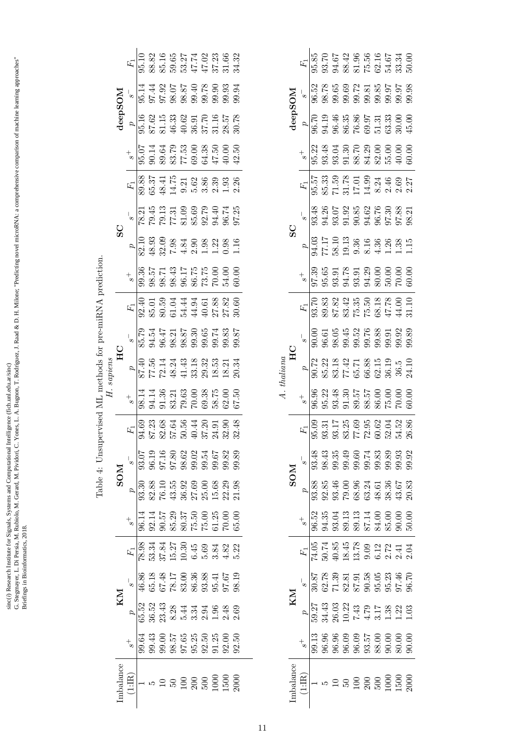sinc(i) Research Institute for Signals, Systems and Computational Intelligence (fich.unl.edu.ar/sinc)<br>G. Stegmayer, L. Di Persia, M. Rubiolo, M. Gerard, M. Pividori, C. Yones, L. A. Bugnon, T. Rodriguez, J. Raad & D. H. Mi G. Stegmayer, L. Di Persia, M. Rubiolo, M. Gerard, M. Pividori, C. Yones, L. A. Bugnon, T. Rodriguez, J. Raad & D. H. Milone; "Predicting novel microRNA: a comprehensive comparison of machine learning approaches" sinc(*i*) Research Institute for Signals, Systems and Computational Intelligence (fich.unl.edu.ar/sinc) Briefings in Bioinformatics, 2018.

Table 4: Unsupervised ML methods for pre-miRNA prediction. Table 4: Unsupervised ML methods for pre-miRNA prediction. H. sapiens

|                       |               | $\begin{array}{cccc} \text{deepSOM} \\ \text{pep} \\ \hline p \\ \hline p \\ 95.16 & 95.14 \\ 87.62 & 97.44 \\ 81.15 & 97.92 \\ 46.33 & 98.07 \\ 46.31 & 98.87 \\ 36.01 & 99.90 \\ 37.70 & 99.90 \\ 31.16 & 99.99 \\ 31.16 & 99.93 \\ 30.78 & 99.04 \\ \end{array}$                                                                                                                                                             |  |  | $\frac{F_1}{F_1}$<br>95.10<br>88.82<br>85.05.27<br>47.02<br>53.33<br>53.33                                                                                                                                                                                                                                                                                                                                                                                                                               |  |  |  |
|-----------------------|---------------|---------------------------------------------------------------------------------------------------------------------------------------------------------------------------------------------------------------------------------------------------------------------------------------------------------------------------------------------------------------------------------------------------------------------------------|--|--|----------------------------------------------------------------------------------------------------------------------------------------------------------------------------------------------------------------------------------------------------------------------------------------------------------------------------------------------------------------------------------------------------------------------------------------------------------------------------------------------------------|--|--|--|
|                       |               |                                                                                                                                                                                                                                                                                                                                                                                                                                 |  |  |                                                                                                                                                                                                                                                                                                                                                                                                                                                                                                          |  |  |  |
|                       |               | $\begin{array}{c}\n * \\  * \\  95.07 \\  95.44 \\  95.64 \\  0.75\n\end{array}$                                                                                                                                                                                                                                                                                                                                                |  |  |                                                                                                                                                                                                                                                                                                                                                                                                                                                                                                          |  |  |  |
|                       |               |                                                                                                                                                                                                                                                                                                                                                                                                                                 |  |  | $\begin{array}{r} F_1 \\ \hline 89.83 \\ 89.83 \\ 65.37 \\ 64.41 \\ 75.21 \\ 89.89 \\ 89.39 \\ 89.32 \\ 1.43 \\ 1.53 \\ 1.53 \\ 1.53 \\ 1.53 \\ 1.53 \\ 1.53 \\ 1.53 \\ 1.53 \\ 1.53 \\ 1.53 \\ 1.53 \\ 1.53 \\ 1.53 \\ 1.53 \\ 1.53 \\ 1.53 \\ 1.53 \\ 1.53 \\ 1.53 \\ 1.53 \\ 1.53 \\ 1.53 \\ 1.53 \\ 1.53 \\$                                                                                                                                                                                         |  |  |  |
|                       | $\frac{0}{5}$ |                                                                                                                                                                                                                                                                                                                                                                                                                                 |  |  | $\begin{array}{c c} \hline \ast & \Xi & \Xi \\ \hline \Xi & \Xi & \Xi \\ \Xi & \Xi & \Xi \\ \Xi & \Xi & \Xi \\ \Xi & \Xi & \Xi \\ \Xi & \Xi & \Xi \\ \Xi & \Xi & \Xi \\ \Xi & \Xi & \Xi \\ \Xi & \Xi & \Xi \\ \Xi & \Xi & \Xi \\ \Xi & \Xi & \Xi \\ \Xi & \Xi & \Xi \\ \Xi & \Xi & \Xi \\ \Xi & \Xi & \Xi \\ \Xi & \Xi & \Xi \\ \Xi & \Xi & \Xi \\ \Xi & \Xi & \Xi \\ \Xi & \Xi & \Xi \\ \Xi & \Xi & \Xi \\ \Xi & \Xi & \Xi \\ \Xi & \Xi & \Xi \\ \Xi & \Xi & \Xi & \Xi \\ \Xi & \$                      |  |  |  |
|                       |               |                                                                                                                                                                                                                                                                                                                                                                                                                                 |  |  |                                                                                                                                                                                                                                                                                                                                                                                                                                                                                                          |  |  |  |
|                       |               |                                                                                                                                                                                                                                                                                                                                                                                                                                 |  |  |                                                                                                                                                                                                                                                                                                                                                                                                                                                                                                          |  |  |  |
|                       |               |                                                                                                                                                                                                                                                                                                                                                                                                                                 |  |  | $\begin{array}{l} \frac{F_1}{F_1} \\ 93.61 \\ 85.01 \\ 86.61 \\ 87.43 \\ 193.62 \\ 104.43 \\ 195.88 \\ 196.88 \\ 197.88 \\ 198.89 \\ 199.60 \\ 199.60 \\ 199.60 \\ 199.60 \\ 199.60 \\ 199.60 \\ 199.60 \\ 199.60 \\ 199.60 \\ 199.60 \\ 199.60 \\ 199.60 \\ 199.60 \\ 199.60 \\ 199.60 \\ 199.$                                                                                                                                                                                                         |  |  |  |
|                       |               |                                                                                                                                                                                                                                                                                                                                                                                                                                 |  |  | $\begin{array}{r} \n\phantom{13} \times 19.333 \\ \n\phantom{13} \times 19.4333 \\ \n\phantom{13} \times 19.4333 \\ \n\phantom{13} \times 19.4333 \\ \n\phantom{13} \times 19.4333 \\ \n\phantom{13} \times 19.4333 \\ \n\phantom{13} \times 19.4333 \\ \n\phantom{13} \times 19.4333 \\ \n\phantom{13} \times 19.4333 \\ \n\phantom{13} \times 19.4333 \\ \n\phantom{13} \times 19$                                                                                                                     |  |  |  |
| $\cdots$ and $\cdots$ |               |                                                                                                                                                                                                                                                                                                                                                                                                                                 |  |  | $\begin{array}{c} \mathbb{P}\left[\mathbb{R},\mathbb{R}\right] \mathbb{R} \mathbb{R} \mathbb{R} \mathbb{R} \mathbb{R} \mathbb{R} \mathbb{R} \mathbb{R} \mathbb{R} \mathbb{R} \mathbb{R} \mathbb{R} \mathbb{R} \mathbb{R} \mathbb{R} \mathbb{R} \mathbb{R} \mathbb{R} \mathbb{R} \mathbb{R} \mathbb{R} \mathbb{R} \mathbb{R} \mathbb{R} \mathbb{R} \mathbb{R} \mathbb{R} \mathbb{R} \mathbb{R} \mathbb{R} \mathbb{R} \mathbb{R}$                                                                          |  |  |  |
|                       |               | $\begin{array}{r} \text{9} \\ \text{9} \\ \text{9} \\ \text{11} \\ \text{13} \\ \text{14} \\ \text{15} \\ \text{16} \\ \text{17} \\ \text{18} \\ \text{19} \\ \text{10} \\ \text{13} \\ \text{15} \\ \text{16} \\ \text{17} \\ \text{18} \\ \text{19} \\ \text{10} \\ \text{10} \\ \text{17} \\ \text{18} \\ \text{19} \\ \text{19} \\ \text{19} \\ \text{19} \\ \text{19} \\ \text{19} \\ \text{19} \\ \text{19} \\ \text{19}$ |  |  |                                                                                                                                                                                                                                                                                                                                                                                                                                                                                                          |  |  |  |
|                       |               |                                                                                                                                                                                                                                                                                                                                                                                                                                 |  |  | $\frac{F_1}{\frac{1960}{36.83}}$<br>$\frac{88855548}{56.855648}$<br>$\frac{1}{20.8356}$<br>$\frac{1}{20.8356}$<br>$\frac{1}{20.8356}$<br>$\frac{1}{20.8356}$<br>$\frac{1}{20.8356}$                                                                                                                                                                                                                                                                                                                      |  |  |  |
|                       | <b>NOS</b>    |                                                                                                                                                                                                                                                                                                                                                                                                                                 |  |  | $\begin{array}{r} p\\ \hline 93.30 & 93.07\\ 93.30 & 95.10\\ 82.88 & 96.19\\ 76.10 & 97.16\\ 43.55 & 97.80\\ 36.92 & 98.62\\ 27.69 & 99.54\\ 56.0 & 99.54\\ 15.68 & 99.82\\ 15.68 & 99.82\\ 21.98 & 99.89\\ \end{array}$                                                                                                                                                                                                                                                                                 |  |  |  |
|                       |               |                                                                                                                                                                                                                                                                                                                                                                                                                                 |  |  |                                                                                                                                                                                                                                                                                                                                                                                                                                                                                                          |  |  |  |
|                       |               |                                                                                                                                                                                                                                                                                                                                                                                                                                 |  |  |                                                                                                                                                                                                                                                                                                                                                                                                                                                                                                          |  |  |  |
|                       |               |                                                                                                                                                                                                                                                                                                                                                                                                                                 |  |  | $\frac{F_1}{78.33}$<br>$\frac{33.34}{55.37}$<br>$\frac{37.51}{55.27}$<br>$\frac{57.51}{55.27}$<br>$\frac{57.51}{55.27}$<br>$\frac{57.51}{55.27}$<br>$\frac{57.51}{55.27}$                                                                                                                                                                                                                                                                                                                                |  |  |  |
|                       | ΚŅ            |                                                                                                                                                                                                                                                                                                                                                                                                                                 |  |  | $\begin{array}{r} \n 6 \\  \hline\n 9 \\  \hline\n 46.86 \\  \hline\n 65.18 \\  \hline\n 76.7 \\  \hline\n 80.3 \\  \hline\n 76.8 \\  \hline\n 80.3 \\  \hline\n 80.3 \\  \hline\n 90.3 \\  \hline\n 90.3 \\  \hline\n 90.3 \\  \hline\n 90.3 \\  \hline\n 90.3 \\  \hline\n 90.3 \\  \hline\n 90.3 \\  \hline\n 90.3 \\  \hline\n 90.3 \\  \hline\n 90.3 \\  \hline\n 90.3 \\  \hline\n 90.3 \\  \hline\n 90.3$                                                                                         |  |  |  |
|                       |               |                                                                                                                                                                                                                                                                                                                                                                                                                                 |  |  | $\begin{array}{c c} \mathbb{P} & \multicolumn{2}{c}{\times} & \multicolumn{2}{c}{\times} & \multicolumn{2}{c}{\times} & \multicolumn{2}{c}{\times} & \multicolumn{2}{c}{\times} & \multicolumn{2}{c}{\times} & \multicolumn{2}{c}{\times} & \multicolumn{2}{c}{\times} & \multicolumn{2}{c}{\times} & \multicolumn{2}{c}{\times} & \multicolumn{2}{c}{\times} & \multicolumn{2}{c}{\times} & \multicolumn{2}{c}{\times} & \multicolumn{2}{c}{\times} & \multicolumn{2}{c}{\times} & \multicolumn{2}{c}{$ |  |  |  |
|                       |               | $\frac{1}{8}$ $\frac{1}{99}$ $\frac{64}{99}$ $\frac{36}{99}$ $\frac{65}{99}$ $\frac{1}{89}$ $\frac{1}{89}$ $\frac{1}{89}$ $\frac{1}{89}$ $\frac{1}{89}$ $\frac{1}{89}$ $\frac{1}{89}$ $\frac{1}{89}$ $\frac{1}{89}$ $\frac{1}{89}$ $\frac{1}{89}$ $\frac{1}{89}$ $\frac{1}{89}$ $\frac{1}{89}$ $\frac{1}{89}$                                                                                                                   |  |  |                                                                                                                                                                                                                                                                                                                                                                                                                                                                                                          |  |  |  |
|                       |               |                                                                                                                                                                                                                                                                                                                                                                                                                                 |  |  | $\begin{array}{c} 10 \\ 30 \\ 200 \\ 100 \\ 300 \\ 500 \\ 1000 \\ 1000 \\ 1000 \\ 1000 \\ 2000 \\ 1 \end{array}$                                                                                                                                                                                                                                                                                                                                                                                         |  |  |  |

|            |                |                                                                                                                                                                                                                                                                                                                                                |  | $\begin{array}{r} F_1 \\ \hline 95.85 \\ 95.37 \\ 83.42 \\ 84.85 \\ 15.56 \\ 16.54 \\ 17.56 \\ 18.56 \\ 19.53 \\ 10.00 \\ 10.00 \\ 10.00 \\ 10.00 \\ 10.00 \\ 10.00 \\ 10.00 \\ 10.00 \\ 10.00 \\ 10.00 \\ 10.00 \\ 10.00 \\ 10.00 \\ 10.00 \\ 10.00 \\ 10.00 \\ 10.00 \\ 10.00 \\ 10.00 \\ 10.00 \\ 10$                                                                                                      |  |  |  |  |  |  |
|------------|----------------|------------------------------------------------------------------------------------------------------------------------------------------------------------------------------------------------------------------------------------------------------------------------------------------------------------------------------------------------|--|---------------------------------------------------------------------------------------------------------------------------------------------------------------------------------------------------------------------------------------------------------------------------------------------------------------------------------------------------------------------------------------------------------------|--|--|--|--|--|--|
|            |                |                                                                                                                                                                                                                                                                                                                                                |  |                                                                                                                                                                                                                                                                                                                                                                                                               |  |  |  |  |  |  |
|            | <b>NOSqaat</b> |                                                                                                                                                                                                                                                                                                                                                |  | $\begin{array}{r} p \\ \hline 96.70 \\ 96.49 \\ 96.49 \\ 96.38 \\ 96.88 \\ 76.89 \\ 15.33 \\ 63.39 \\ 69.69 \\ 76.9 \\ 15.33 \\ 63.69 \\ 45.00 \\ 45.00 \\ 45.00 \\ \hline \end{array}$                                                                                                                                                                                                                       |  |  |  |  |  |  |
|            |                | $\begin{array}{c c} \ast & \ast & \ast \\ \ast & \ast & \ast & \ast \\ \hline \ast & \ast & \ast & \ast \\ \hline \ast & \ast & \ast & \ast \\ \end{array} \begin{array}{c} \ast & \ast & \ast & \ast & \ast \\ \ast & \ast & \ast & \ast & \ast \\ \ast & \ast & \ast & \ast & \ast \\ \end{array}$                                           |  |                                                                                                                                                                                                                                                                                                                                                                                                               |  |  |  |  |  |  |
|            |                |                                                                                                                                                                                                                                                                                                                                                |  | $\begin{array}{l} F_1 \\ \hline F_1 \\ 95.53 \\ 85.39 \\ 71.59 \\ 17.01 \\ 17.03 \\ 18.34 \\ 19.34 \\ 19.34 \\ 13.49 \\ 23.7 \\ 3.27 \\ 4.33 \\ 2.37 \\ 3.48 \\ 4.38 \\ 5.27 \\ 4.39 \\ 5.37 \\ 5.33 \\ 5.38 \\ 5.39 \\ 5.39 \\ 5.33 \\ 5.33 \\ 5.33 \\ 5.33 \\ 5.33 \\ 5.33 \\ 5.33 \\ 5.33 \\ 5.33 \\ 5.33 \\ $                                                                                             |  |  |  |  |  |  |
|            |                |                                                                                                                                                                                                                                                                                                                                                |  |                                                                                                                                                                                                                                                                                                                                                                                                               |  |  |  |  |  |  |
|            |                |                                                                                                                                                                                                                                                                                                                                                |  | $\begin{array}{r} \n\frac{1}{3} & \frac{1}{3} & \frac{1}{3} & \frac{1}{3} & \frac{1}{3} & \frac{1}{3} & \frac{1}{3} & \frac{1}{3} & \frac{1}{3} & \frac{1}{3} & \frac{1}{3} & \frac{1}{3} & \frac{1}{3} & \frac{1}{3} & \frac{1}{3} & \frac{1}{3} & \frac{1}{3} & \frac{1}{3} & \frac{1}{3} & \frac{1}{3} & \frac{1}{3} & \frac{1}{3} & \frac{1}{3} & \frac{1}{3} & \frac{1}{3} & \frac{1}{3} & \frac{$       |  |  |  |  |  |  |
|            |                | $\begin{array}{c c} \ast & \ast & \ast \\ \hline \ast & \ast & \ast & \ast \\ \hline \ast & \ast & \ast & \ast & \ast \\ \hline \ast & \ast & \ast & \ast & \ast \\ \hline \ast & \ast & \ast & \ast & \ast & \ast \\ \end{array}$                                                                                                             |  |                                                                                                                                                                                                                                                                                                                                                                                                               |  |  |  |  |  |  |
|            |                |                                                                                                                                                                                                                                                                                                                                                |  | $\begin{array}{l} F_1 \\ \hline \text{93.33 }} \text{83.43 } \text{55.38 } \text{m} \\ \text{95.33 } \text{25.33 } \text{m} \\ \text{96.33 } \text{27.33 } \text{m} \\ \text{97.33 } \text{m} \\ \text{98.33 } \text{m} \\ \text{99.33 } \text{m} \\ \text{99.33 } \text{m} \\ \text{90.33 } \text{m} \\ \text{91.33 } \text{m} \\ \text{92.33 } \text{m} \\ \text{93.33 } \text{m} \\ \text{94$              |  |  |  |  |  |  |
|            |                |                                                                                                                                                                                                                                                                                                                                                |  | $\begin{array}{r} \times 6000 \\ \times 60000 \\ \times 60000 \\ \times 60000 \\ \times 60000 \\ \times 60000 \\ \times 60000 \\ \times 60000 \\ \times 60000 \\ \times 60000 \\ \times 60000 \\ \times 60000 \\ \times 60000 \\ \times 60000 \\ \times 60000 \\ \times 60000 \\ \times 60000 \\ \times 60000 \\ \times 60000 \\ \times 60000 \\ \times 60000 \\ \times 60000 \\ \times 60000 \\ \times 6000$ |  |  |  |  |  |  |
| . thaliana |                |                                                                                                                                                                                                                                                                                                                                                |  | $\begin{array}{r} \mathbb{P} \Big[ 2,23,23,23,24 \\ 2,23,23,24,25 \\ 2,23,24,25 \\ 2,23,24,26 \\ 2,23,24,25 \\ 2,23,24,26 \\ 2,23,24,26 \\ 2,23,24,26 \\ 2,23,24,26 \\ 2,23,24,26 \\ 2,23,24,26 \\ 2,23,24,26 \\ 2,23,24,26 \\ 2,23,24,26 \\ 2,23,24,26 \\ 2,23,24,26 \\ 2,23,$                                                                                                                               |  |  |  |  |  |  |
|            |                |                                                                                                                                                                                                                                                                                                                                                |  | $\begin{array}{c}\n * \\  * \\  96.98 \\  96.32 \\  84.8 \\  95.7 \\  1.3 \\  1.3 \\  88.5 \\  76.0 \\  0.0 \\  0.0 \\  0.0 \\  0.0 \\  0.0 \\  0\n\end{array}$                                                                                                                                                                                                                                               |  |  |  |  |  |  |
|            |                |                                                                                                                                                                                                                                                                                                                                                |  | $\frac{F_1}{95.09}$<br>$\frac{95.0}{95.31}$<br>$\frac{17}{17.59}$<br>$\frac{25}{17.59}$<br>$\frac{25}{17.59}$<br>$\frac{25}{17.59}$<br>$\frac{25}{17.59}$<br>$\frac{25}{17.59}$<br>$\frac{25}{17.59}$                                                                                                                                                                                                         |  |  |  |  |  |  |
|            |                |                                                                                                                                                                                                                                                                                                                                                |  |                                                                                                                                                                                                                                                                                                                                                                                                               |  |  |  |  |  |  |
|            | $_{\rm{NOS}}$  |                                                                                                                                                                                                                                                                                                                                                |  |                                                                                                                                                                                                                                                                                                                                                                                                               |  |  |  |  |  |  |
|            |                |                                                                                                                                                                                                                                                                                                                                                |  | $\begin{array}{c c} \ast & \ast & \ast \\ \hline \ast & \ast & \ast & \ast \\ \hline \ast & \ast & \ast & \ast \\ \hline \ast & \ast & \ast & \ast \\ \hline \ast & \ast & \ast & \ast \\ \end{array}$                                                                                                                                                                                                        |  |  |  |  |  |  |
|            |                |                                                                                                                                                                                                                                                                                                                                                |  | $\begin{array}{l} F_1 \\ F_2 \\ F_3 \\ F_4 \\ F_5 \\ G_6 \\ H_7 \\ H_8 \\ H_9 \\ H_9 \\ H_9 \\ H_1 \\ H_2 \\ H_3 \\ H_1 \\ H_2 \\ H_3 \\ H_4 \\ H_5 \\ H_6 \\ H_7 \\ H_8 \\ H_9 \\ H_9 \\ H_1 \\ H_1 \\ H_2 \\ H_3 \\ H_4 \\ H_5 \\ H_6 \\ H_7 \\ H_8 \\ H_9 \\ H_9 \\ H_1 \\ H_1 \\ H_2 \\ H_3 \\ H_4 \\ H_5 \\ H_6 \\ H_7 \\ H_8 \\ H_9 \\ H_9 \\ H_1 \\ H_1 \\ H_2 \\ H_3 \\ H_4 \\ H_5 \\ H_6 \\ H$       |  |  |  |  |  |  |
|            | KИ             |                                                                                                                                                                                                                                                                                                                                                |  | $\begin{array}{r} \n 8 \\  \times 36 \\  \hline\n 80.78 \\  24.39 \\  36.51 \\  56.39 \\  56.39 \\  56.39 \\  56.39 \\  56.39 \\  56.70\n \end{array}$                                                                                                                                                                                                                                                        |  |  |  |  |  |  |
|            |                |                                                                                                                                                                                                                                                                                                                                                |  | $\begin{array}{r} \mathbb{P}\left  \frac{1}{127} \right  \times 123 \\ \hline 159.31 \\ 234.43 \\ 26.03 \\ 21.43 \\ 22.43 \\ 23.43 \\ 24.43 \\ 25.43 \\ 26.43 \\ 27.43 \\ 28.43 \\ 29.43 \\ 20.5 \\ 21.5 \\ 22.5 \\ 23.5 \\ 24.5 \\ 25.5 \\ 26.5 \\ 27.5 \\ 28.5 \\ 29.5 \\ 20.5 \\ 21.5 \\ 22.5 \\ 23.5 \\ 24.5 \\ 25.5 \\ $                                                                                 |  |  |  |  |  |  |
|            |                | $\frac{1}{8} + \frac{1}{13}$<br>$\frac{1}{13}$<br>$\frac{1}{13}$<br>$\frac{1}{13}$<br>$\frac{1}{13}$<br>$\frac{1}{13}$<br>$\frac{1}{13}$<br>$\frac{1}{13}$<br>$\frac{1}{13}$<br>$\frac{1}{13}$<br>$\frac{1}{13}$<br>$\frac{1}{13}$<br>$\frac{1}{13}$<br>$\frac{1}{13}$<br>$\frac{1}{13}$<br>$\frac{1}{13}$<br>$\frac{1}{13}$<br>$\frac{1}{13}$ |  |                                                                                                                                                                                                                                                                                                                                                                                                               |  |  |  |  |  |  |
|            | nbalance       |                                                                                                                                                                                                                                                                                                                                                |  |                                                                                                                                                                                                                                                                                                                                                                                                               |  |  |  |  |  |  |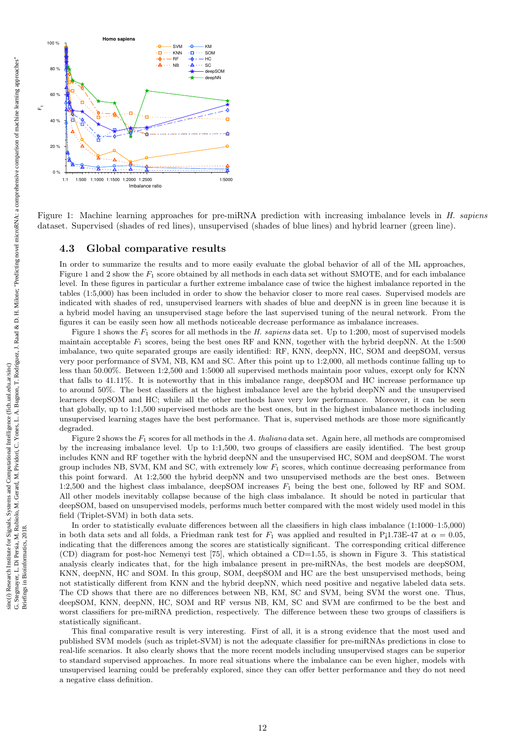

Figure 1: Machine learning approaches for pre-miRNA prediction with increasing imbalance levels in H. sapiens dataset. Supervised (shades of red lines), unsupervised (shades of blue lines) and hybrid learner (green line).

#### 4.3 Global comparative results

In order to summarize the results and to more easily evaluate the global behavior of all of the ML approaches, Figure 1 and 2 show the  $F_1$  score obtained by all methods in each data set without SMOTE, and for each imbalance level. In these figures in particular a further extreme imbalance case of twice the highest imbalance reported in the tables (1:5,000) has been included in order to show the behavior closer to more real cases. Supervised models are indicated with shades of red, unsupervised learners with shades of blue and deepNN is in green line because it is a hybrid model having an unsupervised stage before the last supervised tuning of the neural network. From the figures it can be easily seen how all methods noticeable decrease performance as imbalance increases.

Figure 1 shows the  $F_1$  scores for all methods in the H. sapiens data set. Up to 1:200, most of supervised models maintain acceptable  $F_1$  scores, being the best ones RF and KNN, together with the hybrid deepNN. At the 1:500 imbalance, two quite separated groups are easily identified: RF, KNN, deepNN, HC, SOM and deepSOM, versus very poor performance of SVM, NB, KM and SC. After this point up to 1:2,000, all methods continue falling up to less than 50.00%. Between 1:2,500 and 1:5000 all supervised methods maintain poor values, except only for KNN that falls to 41.11%. It is noteworthy that in this imbalance range, deepSOM and HC increase performance up to around 50%. The best classifiers at the highest imbalance level are the hybrid deepNN and the unsupervised learners deepSOM and HC; while all the other methods have very low performance. Moreover, it can be seen that globally, up to 1:1,500 supervised methods are the best ones, but in the highest imbalance methods including unsupervised learning stages have the best performance. That is, supervised methods are those more significantly degraded.

Figure 2 shows the  $F_1$  scores for all methods in the A. thaliana data set. Again here, all methods are compromised by the increasing imbalance level. Up to 1:1,500, two groups of classifiers are easily identified. The best group includes KNN and RF together with the hybrid deepNN and the unsupervised HC, SOM and deepSOM. The worst group includes NB, SVM, KM and SC, with extremely low  $F_1$  scores, which continue decreasing performance from this point forward. At 1:2,500 the hybrid deepNN and two unsupervised methods are the best ones. Between 1:2,500 and the highest class imbalance, deepSOM increases  $F_1$  being the best one, followed by RF and SOM. All other models inevitably collapse because of the high class imbalance. It should be noted in particular that deepSOM, based on unsupervised models, performs much better compared with the most widely used model in this field (Triplet-SVM) in both data sets.

In order to statistically evaluate differences between all the classifiers in high class imbalance (1:1000–1:5,000) in both data sets and all folds, a Friedman rank test for  $F_1$  was applied and resulted in P<sub>i</sub>1.73E-47 at  $\alpha = 0.05$ , indicating that the differences among the scores are statistically significant. The corresponding critical difference (CD) diagram for post-hoc Nemenyi test [75], which obtained a CD=1.55, is shown in Figure 3. This statistical analysis clearly indicates that, for the high imbalance present in pre-miRNAs, the best models are deepSOM, KNN, deepNN, HC and SOM. In this group, SOM, deepSOM and HC are the best unsupervised methods, being not statistically different from KNN and the hybrid deepNN, which need positive and negative labeled data sets. The CD shows that there are no differences between NB, KM, SC and SVM, being SVM the worst one. Thus, deepSOM, KNN, deepNN, HC, SOM and RF versus NB, KM, SC and SVM are confirmed to be the best and worst classifiers for pre-miRNA prediction, respectively. The difference between these two groups of classifiers is statistically significant.

This final comparative result is very interesting. First of all, it is a strong evidence that the most used and published SVM models (such as triplet-SVM) is not the adequate classifier for pre-miRNAs predictions in close to real-life scenarios. It also clearly shows that the more recent models including unsupervised stages can be superior to standard supervised approaches. In more real situations where the imbalance can be even higher, models with unsupervised learning could be preferably explored, since they can offer better performance and they do not need a negative class definition.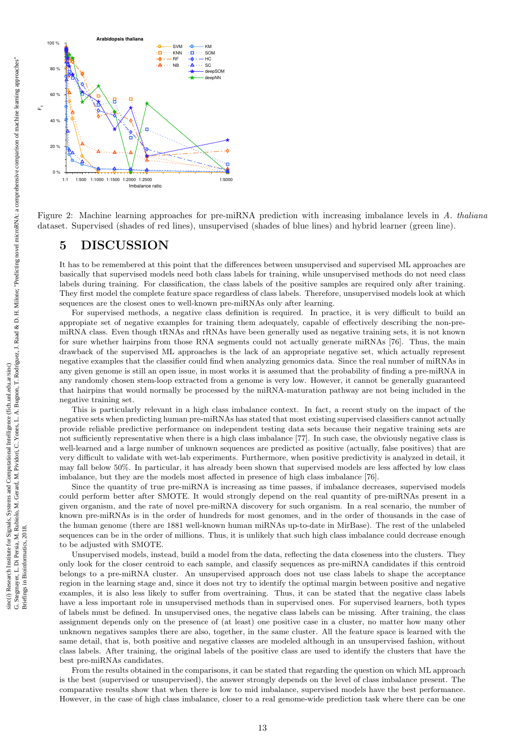

Figure 2: Machine learning approaches for pre-miRNA prediction with increasing imbalance levels in A. thaliana dataset. Supervised (shades of red lines), unsupervised (shades of blue lines) and hybrid learner (green line).

## 5 DISCUSSION

It has to be remembered at this point that the differences between unsupervised and supervised ML approaches are basically that supervised models need both class labels for training, while unsupervised methods do not need class labels during training. For classification, the class labels of the positive samples are required only after training. They first model the complete feature space regardless of class labels. Therefore, unsupervised models look at which sequences are the closest ones to well-known pre-miRNAs only after learning.

For supervised methods, a negative class definition is required. In practice, it is very difficult to build an appropiate set of negative examples for training them adequately, capable of effectively describing the non-premiRNA class. Even though tRNAs and rRNAs have been generally used as negative training sets, it is not known for sure whether hairpins from those RNA segments could not actually generate miRNAs [76]. Thus, the main drawback of the supervised ML approaches is the lack of an appropriate negative set, which actually represent negative examples that the classifier could find when analyzing genomics data. Since the real number of miRNAs in any given genome is still an open issue, in most works it is assumed that the probability of finding a pre-miRNA in any randomly chosen stem-loop extracted from a genome is very low. However, it cannot be generally guaranteed that hairpins that would normally be processed by the miRNA-maturation pathway are not being included in the negative training set.

This is particularly relevant in a high class imbalance context. In fact, a recent study on the impact of the negative sets when predicting human pre-miRNAs has stated that most existing supervised classifiers cannot actually provide reliable predictive performance on independent testing data sets because their negative training sets are not sufficiently representative when there is a high class imbalance [77]. In such case, the obviously negative class is well-learned and a large number of unknown sequences are predicted as positive (actually, false positives) that are very difficult to validate with wet-lab experiments. Furthermore, when positive predictivity is analyzed in detail, it may fall below 50%. In particular, it has already been shown that supervised models are less affected by low class imbalance, but they are the models most affected in presence of high class imbalance [76].

Since the quantity of true pre-miRNA is increasing as time passes, if imbalance decreases, supervised models could perform better after SMOTE. It would strongly depend on the real quantity of pre-miRNAs present in a given organism, and the rate of novel pre-miRNA discovery for such organism. In a real scenario, the number of known pre-miRNAs is in the order of hundreds for most genomes, and in the order of thousands in the case of the human genome (there are 1881 well-known human miRNAs up-to-date in MirBase). The rest of the unlabeled sequences can be in the order of millions. Thus, it is unlikely that such high class imbalance could decrease enough to be adjusted with SMOTE.

Unsupervised models, instead, build a model from the data, reflecting the data closeness into the clusters. They only look for the closer centroid to each sample, and classify sequences as pre-miRNA candidates if this centroid belongs to a pre-miRNA cluster. An unsupervised approach does not use class labels to shape the acceptance region in the learning stage and, since it does not try to identify the optimal margin between positive and negative examples, it is also less likely to suffer from overtraining. Thus, it can be stated that the negative class labels have a less important role in unsupervised methods than in supervised ones. For supervised learners, both types of labels must be defined. In unsupervised ones, the negative class labels can be missing. After training, the class assignment depends only on the presence of (at least) one positive case in a cluster, no matter how many other unknown negatives samples there are also, together, in the same cluster. All the feature space is learned with the same detail, that is, both positive and negative classes are modeled although in an unsupervised fashion, without class labels. After training, the original labels of the positive class are used to identify the clusters that have the best pre-miRNAs candidates.

From the results obtained in the comparisons, it can be stated that regarding the question on which ML approach is the best (supervised or unsupervised), the answer strongly depends on the level of class imbalance present. The comparative results show that when there is low to mid imbalance, supervised models have the best performance. However, in the case of high class imbalance, closer to a real genome-wide prediction task where there can be one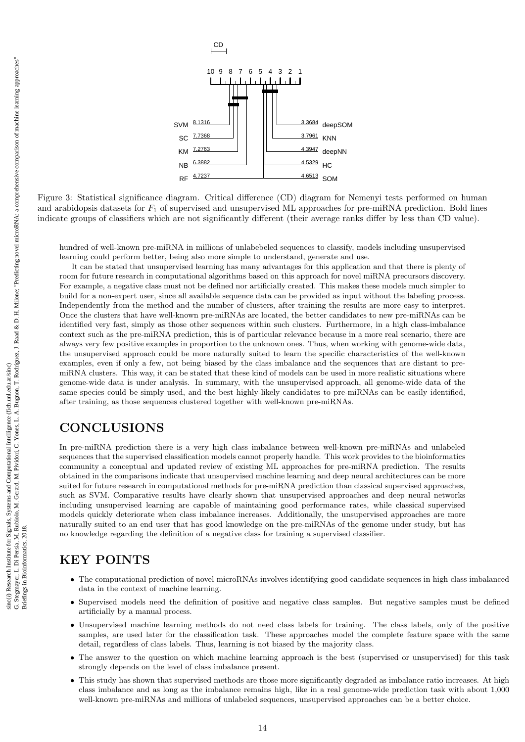

Figure 3: Statistical significance diagram. Critical difference (CD) diagram for Nemenyi tests performed on human and arabidopsis datasets for  $F_1$  of supervised and unsupervised ML approaches for pre-miRNA prediction. Bold lines indicate groups of classifiers which are not significantly different (their average ranks differ by less than CD value).

hundred of well-known pre-miRNA in millions of unlabebeled sequences to classify, models including unsupervised learning could perform better, being also more simple to understand, generate and use.

It can be stated that unsupervised learning has many advantages for this application and that there is plenty of room for future research in computational algorithms based on this approach for novel miRNA precursors discovery. For example, a negative class must not be defined nor artificially created. This makes these models much simpler to build for a non-expert user, since all available sequence data can be provided as input without the labeling process. Independently from the method and the number of clusters, after training the results are more easy to interpret. Once the clusters that have well-known pre-miRNAs are located, the better candidates to new pre-miRNAs can be identified very fast, simply as those other sequences within such clusters. Furthermore, in a high class-imbalance context such as the pre-miRNA prediction, this is of particular relevance because in a more real scenario, there are always very few positive examples in proportion to the unknown ones. Thus, when working with genome-wide data, the unsupervised approach could be more naturally suited to learn the specific characteristics of the well-known examples, even if only a few, not being biased by the class imbalance and the sequences that are distant to premiRNA clusters. This way, it can be stated that these kind of models can be used in more realistic situations where genome-wide data is under analysis. In summary, with the unsupervised approach, all genome-wide data of the same species could be simply used, and the best highly-likely candidates to pre-miRNAs can be easily identified, after training, as those sequences clustered together with well-known pre-miRNAs.

## CONCLUSIONS

In pre-miRNA prediction there is a very high class imbalance between well-known pre-miRNAs and unlabeled sequences that the supervised classification models cannot properly handle. This work provides to the bioinformatics community a conceptual and updated review of existing ML approaches for pre-miRNA prediction. The results obtained in the comparisons indicate that unsupervised machine learning and deep neural architectures can be more suited for future research in computational methods for pre-miRNA prediction than classical supervised approaches, such as SVM. Comparative results have clearly shown that unsupervised approaches and deep neural networks including unsupervised learning are capable of maintaining good performance rates, while classical supervised models quickly deteriorate when class imbalance increases. Additionally, the unsupervised approaches are more naturally suited to an end user that has good knowledge on the pre-miRNAs of the genome under study, but has no knowledge regarding the definition of a negative class for training a supervised classifier.

## KEY POINTS

- The computational prediction of novel microRNAs involves identifying good candidate sequences in high class imbalanced data in the context of machine learning.
- Supervised models need the definition of positive and negative class samples. But negative samples must be defined artificially by a manual process.
- Unsupervised machine learning methods do not need class labels for training. The class labels, only of the positive samples, are used later for the classification task. These approaches model the complete feature space with the same detail, regardless of class labels. Thus, learning is not biased by the majority class.
- The answer to the question on which machine learning approach is the best (supervised or unsupervised) for this task strongly depends on the level of class imbalance present.
- This study has shown that supervised methods are those more significantly degraded as imbalance ratio increases. At high class imbalance and as long as the imbalance remains high, like in a real genome-wide prediction task with about 1,000 well-known pre-miRNAs and millions of unlabeled sequences, unsupervised approaches can be a better choice.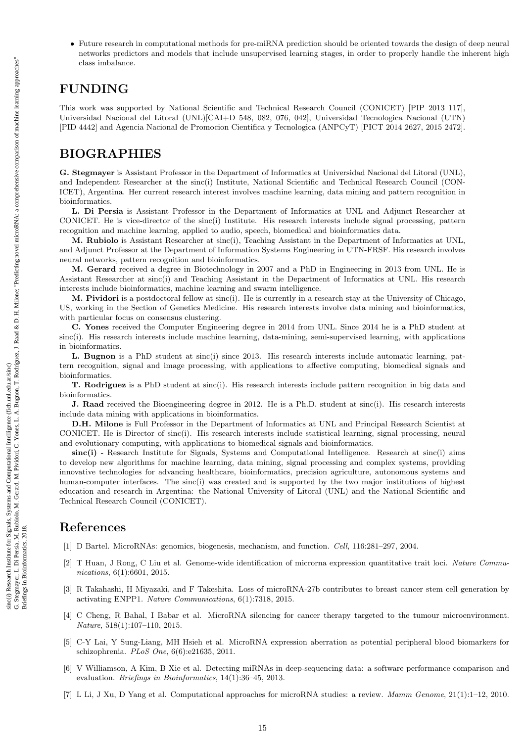• Future research in computational methods for pre-miRNA prediction should be oriented towards the design of deep neural networks predictors and models that include unsupervised learning stages, in order to properly handle the inherent high class imbalance.

## FUNDING

This work was supported by National Scientific and Technical Research Council (CONICET) [PIP 2013 117], Universidad Nacional del Litoral (UNL)[CAI+D 548, 082, 076, 042], Universidad Tecnologica Nacional (UTN) [PID 4442] and Agencia Nacional de Promocion Cientifica y Tecnologica (ANPCyT) [PICT 2014 2627, 2015 2472].

## BIOGRAPHIES

G. Stegmayer is Assistant Professor in the Department of Informatics at Universidad Nacional del Litoral (UNL), and Independent Researcher at the sinc(i) Institute, National Scientific and Technical Research Council (CON-ICET), Argentina. Her current research interest involves machine learning, data mining and pattern recognition in bioinformatics.

L. Di Persia is Assistant Professor in the Department of Informatics at UNL and Adjunct Researcher at CONICET. He is vice-director of the sinc(i) Institute. His research interests include signal processing, pattern recognition and machine learning, applied to audio, speech, biomedical and bioinformatics data.

M. Rubiolo is Assistant Researcher at sinc(i), Teaching Assistant in the Department of Informatics at UNL, and Adjunct Professor at the Department of Information Systems Engineering in UTN-FRSF. His research involves neural networks, pattern recognition and bioinformatics.

M. Gerard received a degree in Biotechnology in 2007 and a PhD in Engineering in 2013 from UNL. He is Assistant Researcher at sinc(i) and Teaching Assistant in the Department of Informatics at UNL. His research interests include bioinformatics, machine learning and swarm intelligence.

M. Pividori is a postdoctoral fellow at sinc(i). He is currently in a research stay at the University of Chicago, US, working in the Section of Genetics Medicine. His research interests involve data mining and bioinformatics, with particular focus on consensus clustering.

C. Yones received the Computer Engineering degree in 2014 from UNL. Since 2014 he is a PhD student at sinc(i). His research interests include machine learning, data-mining, semi-supervised learning, with applications in bioinformatics.

L. Bugnon is a PhD student at sinc(i) since 2013. His research interests include automatic learning, pattern recognition, signal and image processing, with applications to affective computing, biomedical signals and bioinformatics.

T. Rodriguez is a PhD student at sinc(i). His research interests include pattern recognition in big data and bioinformatics.

J. Raad received the Bioengineering degree in 2012. He is a Ph.D. student at sinc(i). His research interests include data mining with applications in bioinformatics.

D.H. Milone is Full Professor in the Department of Informatics at UNL and Principal Research Scientist at CONICET. He is Director of sinc(i). His research interests include statistical learning, signal processing, neural and evolutionary computing, with applications to biomedical signals and bioinformatics.

sinc(i) - Research Institute for Signals, Systems and Computational Intelligence. Research at sinc(i) aims to develop new algorithms for machine learning, data mining, signal processing and complex systems, providing innovative technologies for advancing healthcare, bioinformatics, precision agriculture, autonomous systems and human-computer interfaces. The sinc(i) was created and is supported by the two major institutions of highest education and research in Argentina: the National University of Litoral (UNL) and the National Scientific and Technical Research Council (CONICET).

### References

- [1] D Bartel. MicroRNAs: genomics, biogenesis, mechanism, and function. Cell, 116:281–297, 2004.
- [2] T Huan, J Rong, C Liu et al. Genome-wide identification of microrna expression quantitative trait loci. Nature Communications, 6(1):6601, 2015.
- [3] R Takahashi, H Miyazaki, and F Takeshita. Loss of microRNA-27b contributes to breast cancer stem cell generation by activating ENPP1. Nature Communications, 6(1):7318, 2015.
- [4] C Cheng, R Bahal, I Babar et al. MicroRNA silencing for cancer therapy targeted to the tumour microenvironment. Nature, 518(1):107–110, 2015.
- [5] C-Y Lai, Y Sung-Liang, MH Hsieh et al. MicroRNA expression aberration as potential peripheral blood biomarkers for schizophrenia. PLoS One, 6(6):e21635, 2011.
- [6] V Williamson, A Kim, B Xie et al. Detecting miRNAs in deep-sequencing data: a software performance comparison and evaluation. Briefings in Bioinformatics, 14(1):36–45, 2013.
- [7] L Li, J Xu, D Yang et al. Computational approaches for microRNA studies: a review. Mamm Genome, 21(1):1–12, 2010.

15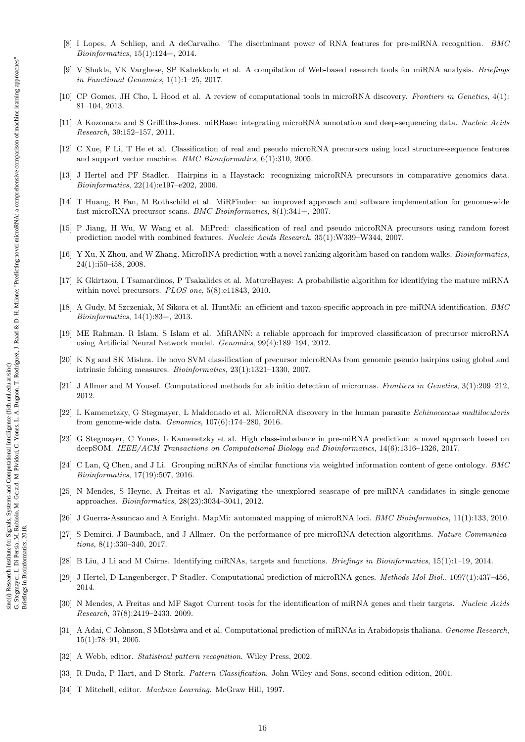- [8] I Lopes, A Schliep, and A deCarvalho. The discriminant power of RNA features for pre-miRNA recognition. BMC Bioinformatics, 15(1):124+, 2014.
- [9] V Shukla, VK Varghese, SP Kabekkodu et al. A compilation of Web-based research tools for miRNA analysis. Briefings in Functional Genomics, 1(1):1–25, 2017.
- [10] CP Gomes, JH Cho, L Hood et al. A review of computational tools in microRNA discovery. Frontiers in Genetics, 4(1): 81–104, 2013.
- [11] A Kozomara and S Griffiths-Jones. miRBase: integrating microRNA annotation and deep-sequencing data. Nucleic Acids Research, 39:152–157, 2011.
- [12] C Xue, F Li, T He et al. Classification of real and pseudo microRNA precursors using local structure-sequence features and support vector machine. BMC Bioinformatics, 6(1):310, 2005.
- [13] J Hertel and PF Stadler. Hairpins in a Haystack: recognizing microRNA precursors in comparative genomics data. Bioinformatics, 22(14):e197–e202, 2006.
- [14] T Huang, B Fan, M Rothschild et al. MiRFinder: an improved approach and software implementation for genome-wide fast microRNA precursor scans. BMC Bioinformatics, 8(1):341+, 2007.
- [15] P Jiang, H Wu, W Wang et al. MiPred: classification of real and pseudo microRNA precursors using random forest prediction model with combined features. Nucleic Acids Research, 35(1):W339–W344, 2007.
- [16] Y Xu, X Zhou, and W Zhang. MicroRNA prediction with a novel ranking algorithm based on random walks. Bioinformatics, 24(1):i50–i58, 2008.
- [17] K Gkirtzou, I Tsamardinos, P Tsakalides et al. MatureBayes: A probabilistic algorithm for identifying the mature miRNA within novel precursors. PLOS one, 5(8):e11843, 2010.
- [18] A Gudy, M Szczeniak, M Sikora et al. HuntMi: an efficient and taxon-specific approach in pre-miRNA identification. BMC Bioinformatics, 14(1):83+, 2013.
- [19] ME Rahman, R Islam, S Islam et al. MiRANN: a reliable approach for improved classification of precursor microRNA using Artificial Neural Network model. Genomics, 99(4):189–194, 2012.
- [20] K Ng and SK Mishra. De novo SVM classification of precursor microRNAs from genomic pseudo hairpins using global and intrinsic folding measures. Bioinformatics, 23(1):1321–1330, 2007.
- [21] J Allmer and M Yousef. Computational methods for ab initio detection of micrornas. Frontiers in Genetics, 3(1):209–212, 2012.
- [22] L Kamenetzky, G Stegmayer, L Maldonado et al. MicroRNA discovery in the human parasite Echinococcus multilocularis from genome-wide data. Genomics, 107(6):174–280, 2016.
- [23] G Stegmayer, C Yones, L Kamenetzky et al. High class-imbalance in pre-miRNA prediction: a novel approach based on deepSOM. IEEE/ACM Transactions on Computational Biology and Bioinformatics, 14(6):1316–1326, 2017.
- [24] C Lan, Q Chen, and J Li. Grouping miRNAs of similar functions via weighted information content of gene ontology. BMC Bioinformatics, 17(19):507, 2016.
- [25] N Mendes, S Heyne, A Freitas et al. Navigating the unexplored seascape of pre-miRNA candidates in single-genome approaches. Bioinformatics, 28(23):3034–3041, 2012.
- [26] J Guerra-Assuncao and A Enright. MapMi: automated mapping of microRNA loci. BMC Bioinformatics, 11(1):133, 2010.
- [27] S Demirci, J Baumbach, and J Allmer. On the performance of pre-microRNA detection algorithms. Nature Communications, 8(1):330–340, 2017.
- [28] B Liu, J Li and M Cairns. Identifying miRNAs, targets and functions. Briefings in Bioinformatics, 15(1):1–19, 2014.
- [29] J Hertel, D Langenberger, P Stadler. Computational prediction of microRNA genes. Methods Mol Biol., 1097(1):437–456, 2014.
- [30] N Mendes, A Freitas and MF Sagot Current tools for the identification of miRNA genes and their targets. Nucleic Acids Research, 37(8):2419–2433, 2009.
- [31] A Adai, C Johnson, S Mlotshwa and et al. Computational prediction of miRNAs in Arabidopsis thaliana. Genome Research, 15(1):78–91, 2005.
- [32] A Webb, editor. Statistical pattern recognition. Wiley Press, 2002.
- [33] R Duda, P Hart, and D Stork. Pattern Classification. John Wiley and Sons, second edition edition, 2001.
- [34] T Mitchell, editor. Machine Learning. McGraw Hill, 1997.

Briefings in Bioinformatics, 2018.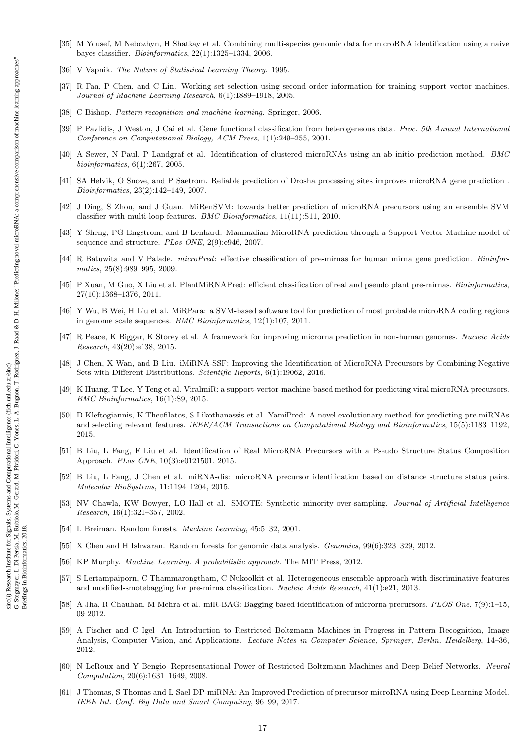- [35] M Yousef, M Nebozhyn, H Shatkay et al. Combining multi-species genomic data for microRNA identification using a naive bayes classifier. Bioinformatics, 22(1):1325–1334, 2006.
- [36] V Vapnik. The Nature of Statistical Learning Theory. 1995.
- [37] R Fan, P Chen, and C Lin. Working set selection using second order information for training support vector machines. Journal of Machine Learning Research, 6(1):1889–1918, 2005.
- [38] C Bishop. Pattern recognition and machine learning. Springer, 2006.
- [39] P Pavlidis, J Weston, J Cai et al. Gene functional classification from heterogeneous data. Proc. 5th Annual International Conference on Computational Biology, ACM Press, 1(1):249–255, 2001.
- [40] A Sewer, N Paul, P Landgraf et al. Identification of clustered microRNAs using an ab initio prediction method. BMC bioinformatics, 6(1):267, 2005.
- [41] SA Helvik, O Snove, and P Saetrom. Reliable prediction of Drosha processing sites improves microRNA gene prediction . Bioinformatics, 23(2):142–149, 2007.
- [42] J Ding, S Zhou, and J Guan. MiRenSVM: towards better prediction of microRNA precursors using an ensemble SVM classifier with multi-loop features. BMC Bioinformatics, 11(11):S11, 2010.
- [43] Y Sheng, PG Engstrom, and B Lenhard. Mammalian MicroRNA prediction through a Support Vector Machine model of sequence and structure. PLos ONE, 2(9):e946, 2007.
- [44] R Batuwita and V Palade. *microPred*: effective classification of pre-mirnas for human mirna gene prediction. *Bioinfor*matics, 25(8):989–995, 2009.
- [45] P Xuan, M Guo, X Liu et al. PlantMiRNAPred: efficient classification of real and pseudo plant pre-mirnas. Bioinformatics, 27(10):1368–1376, 2011.
- [46] Y Wu, B Wei, H Liu et al. MiRPara: a SVM-based software tool for prediction of most probable microRNA coding regions in genome scale sequences. BMC Bioinformatics, 12(1):107, 2011.
- [47] R Peace, K Biggar, K Storey et al. A framework for improving microrna prediction in non-human genomes. Nucleic Acids Research, 43(20):e138, 2015.
- [48] J Chen, X Wan, and B Liu. iMiRNA-SSF: Improving the Identification of MicroRNA Precursors by Combining Negative Sets with Different Distributions. Scientific Reports, 6(1):19062, 2016.
- [49] K Huang, T Lee, Y Teng et al. ViralmiR: a support-vector-machine-based method for predicting viral microRNA precursors. BMC Bioinformatics, 16(1):S9, 2015.
- [50] D Kleftogiannis, K Theofilatos, S Likothanassis et al. YamiPred: A novel evolutionary method for predicting pre-miRNAs and selecting relevant features. IEEE/ACM Transactions on Computational Biology and Bioinformatics, 15(5):1183-1192, 2015.
- [51] B Liu, L Fang, F Liu et al. Identification of Real MicroRNA Precursors with a Pseudo Structure Status Composition Approach. PLos ONE, 10(3):e0121501, 2015.
- [52] B Liu, L Fang, J Chen et al. miRNA-dis: microRNA precursor identification based on distance structure status pairs. Molecular BioSystems, 11:1194–1204, 2015.
- [53] NV Chawla, KW Bowyer, LO Hall et al. SMOTE: Synthetic minority over-sampling. Journal of Artificial Intelligence Research, 16(1):321–357, 2002.
- [54] L Breiman. Random forests. Machine Learning, 45:5–32, 2001.
- [55] X Chen and H Ishwaran. Random forests for genomic data analysis. Genomics, 99(6):323–329, 2012.
- [56] KP Murphy. Machine Learning. A probabilistic approach. The MIT Press, 2012.
- [57] S Lertampaiporn, C Thammarongtham, C Nukoolkit et al. Heterogeneous ensemble approach with discriminative features and modified-smotebagging for pre-mirna classification. Nucleic Acids Research, 41(1):e21, 2013.
- [58] A Jha, R Chauhan, M Mehra et al. miR-BAG: Bagging based identification of microrna precursors. PLOS One, 7(9):1–15, 09 2012.
- [59] A Fischer and C Igel An Introduction to Restricted Boltzmann Machines in Progress in Pattern Recognition, Image Analysis, Computer Vision, and Applications. Lecture Notes in Computer Science, Springer, Berlin, Heidelberg, 14–36, 2012.
- [60] N LeRoux and Y Bengio Representational Power of Restricted Boltzmann Machines and Deep Belief Networks. Neural Computation, 20(6):1631–1649, 2008.
- [61] J Thomas, S Thomas and L Sael DP-miRNA: An Improved Prediction of precursor microRNA using Deep Learning Model. IEEE Int. Conf. Big Data and Smart Computing, 96–99, 2017.